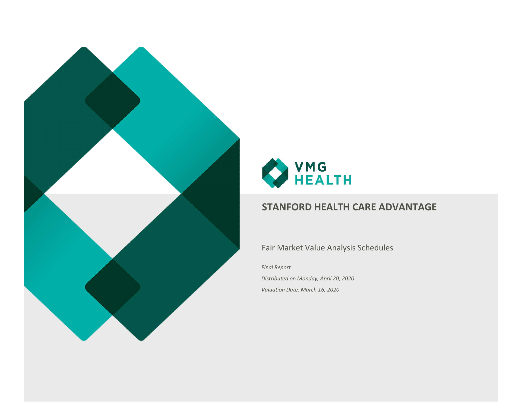



## Fair Market Value Analysis Schedules

*Final Report*

*Distributed on Monday, April 20, 2020 Valuation Date: March 16, 2020*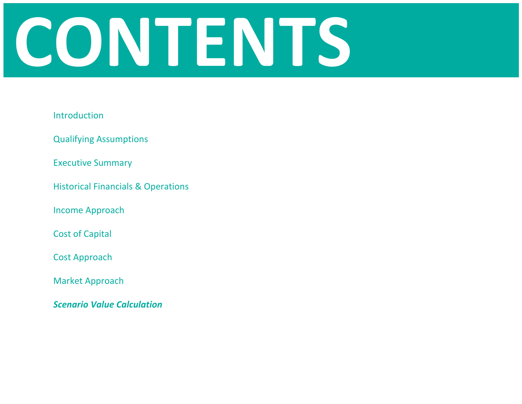# **CONTENTS**

## Introduction

Qualifying Assumptions

Executive Summary

Historical Financials & Operations

Income Approach

Cost of Capital

Cost Approach

Market Approach

*Scenario Value Calculation*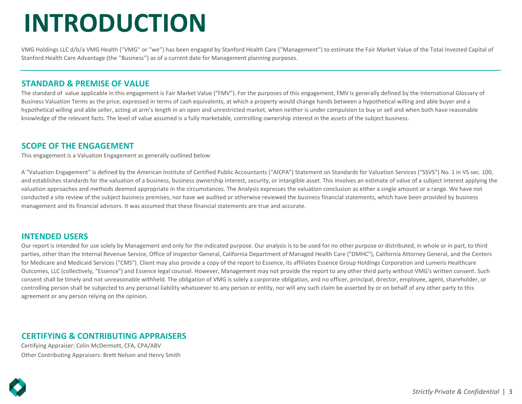# **INTRODUCTION**

VMG Holdings LLC d/b/a VMG Health (''VMG'' or ''we'') has been engaged by Stanford Health Care (''Management'') to estimate the Fair Market Value of the Total Invested Capital of Stanford Health Care Advantage (the ''Business'') as of a current date for Management planning purposes.

## **STANDARD & PREMISE OF VALUE**

The standard of value applicable in this engagement is Fair Market Value ("FMV"). For the purposes of this engagement, FMV is generally defined by the International Glossary of Business Valuation Terms as the price, expressed in terms of cash equivalents, at which a property would change hands between a hypothetical willing and able buyer and a hypothetical willing and able seller, acting at arm's length in an open and unrestricted market, when neither is under compulsion to buy or sell and when both have reasonable knowledge of the relevant facts. The level of value assumed is a fully marketable, controlling ownership interest in the assets of the subject business.

## **SCOPE OF THE ENGAGEMENT**

This engagement is a Valuation Engagement as generally outlined below:

A "Valuation Engagement" is defined by the American Institute of Certified Public Accountants ("AICPA") Statement on Standards for Valuation Services ("SSVS") No. 1 in VS sec. 100, and establishes standards for the valuation of a business, business ownership interest, security, or intangible asset. This involves an estimate of value of a subject interest applying the valuation approaches and methods deemed appropriate in the circumstances. The Analysis expresses the valuation conclusion as either a single amount or a range. We have not conducted a site review of the subject business premises, nor have we audited or otherwise reviewed the business financial statements, which have been provided by business management and its financial advisors. It was assumed that these financial statements are true and accurate.

## **INTENDED USERS**

Our report is intended for use solely by Management and only for the indicated purpose. Our analysis is to be used for no other purpose or distributed, in whole or in part, to third parties, other than the Internal Revenue Service, Office of Inspector General, California Department of Managed Health Care ("DMHC"), California Attorney General, and the Centers for Medicare and Medicaid Services ("CMS"). Client may also provide a copy of the report to Essence, its affiliates Essence Group Holdings Corporation and Lumeris Healthcare Outcomes, LLC (collectively, "Essence") and Essence legal counsel. However, Management may not provide the report to any other third party without VMG's written consent. Such consent shall be timely and not unreasonable withheld. The obligation of VMG is solely a corporate obligation, and no officer, principal, director, employee, agent, shareholder, or controlling person shall be subjected to any personal liability whatsoever to any person or entity, nor will any such claim be asserted by or on behalf of any other party to this agreement or any person relying on the opinion.

## **CERTIFYING & CONTRIBUTING APPRAISERS**

Certifying Appraiser: Colin McDermott, CFA, CPA/ABV Other Contributing Appraisers: Brett Nelson and Henry Smith

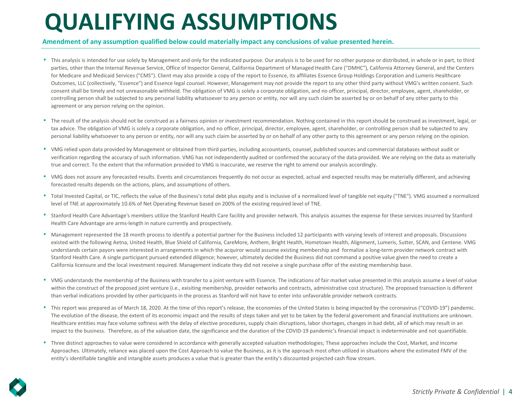# **QUALIFYING ASSUMPTIONS**

### **Amendment of any assumption qualified below could materially impact any conclusions of value presented herein.**

- ٠ This analysis is intended for use solely by Management and only for the indicated purpose. Our analysis is to be used for no other purpose or distributed, in whole or in part, to third parties, other than the Internal Revenue Service, Office of Inspector General, California Department of Managed Health Care ("DMHC"), California Attorney General, and the Centers for Medicare and Medicaid Services ("CMS"). Client may also provide a copy of the report to Essence, its affiliates Essence Group Holdings Corporation and Lumeris Healthcare Outcomes, LLC (collectively, "Essence") and Essence legal counsel. However, Management may not provide the report to any other third party without VMG's written consent. Such consent shall be timely and not unreasonable withheld. The obligation of VMG is solely a corporate obligation, and no officer, principal, director, employee, agent, shareholder, or controlling person shall be subjected to any personal liability whatsoever to any person or entity, nor will any such claim be asserted by or on behalf of any other party to this agreement or any person relying on the opinion.
- " The result of the analysis should not be construed as a fairness opinion or investment recommendation. Nothing contained in this report should be construed as investment, legal, or tax advice. The obligation of VMG is solely a corporate obligation, and no officer, principal, director, employee, agent, shareholder, or controlling person shall be subjected to any personal liability whatsoever to any person or entity, nor will any such claim be asserted by or on behalf of any other party to this agreement or any person relying on the opinion.
- VMG relied upon data provided by Management or obtained from third parties, including accountants, counsel, published sources and commercial databases without audit or verification regarding the accuracy of such information. VMG has not independently audited or confirmed the accuracy of the data provided. We are relying on the data as materially true and correct. To the extent that the information provided to VMG is inaccurate, we reserve the right to amend our analysis accordingly.
- " VMG does not assure any forecasted results. Events and circumstances frequently do not occur as expected, actual and expected results may be materially different, and achieving forecasted results depends on the actions, plans, and assumptions of others.
- " Total Invested Capital, or TIC, reflects the value of the Business's total debt plus equity and is inclusive of a normalized level of tangible net equity ("TNE"). VMG assumed a normalized level of TNE at approximately 10.6% of Net Operating Revenue based on 200% of the existing required level of TNE.
- Stanford Health Care Advantage's members utilize the Stanford Health Care facility and provider network. This analysis assumes the expense for these services incurred by Stanford Health Care Advantage are arms-length in nature currently and prospectively.
- Management represented the 18 month process to identify a potential partner for the Business included 12 participants with varying levels of interest and proposals. Discussions existed with the following Aetna, United Health, Blue Shield of California, CareMore, Anthem, Bright Health, Hometown Health, Alignment, Lumeris, Sutter, SCAN, and Centene. VMG understands certain payors were interested in arrangements in which the acquiror would assume existing membership and formalize a long-term provider network contract with Stanford Health Care. A single participant pursued extended diligence; however, ultimately decided the Business did not command a positive value given the need to create a California licensure and the local investment required. Management indicate they did not receive a single purchase offer of the existing membership base.
- ٠ VMG understands the membership of the Business with transfer to a joint venture with Essence. The indications of fair market value presented in this analysis assume a level of value within the construct of the proposed joint venture (i.e., exisiting membership, provider networks and contracts, administrative cost structure). The proposed transaction is different than verbal indications provided by other participants in the process as Stanford will not have to enter into unfavorable provider network contracts.
- " This report was prepared as of March 18, 2020. At the time of this report's release, the economies of the United States is being impacted by the coronavirus ("COVID-19") pandemic. The evolution of the disease, the extent of its economic impact and the results of steps taken and yet to be taken by the federal government and financial institutions are unknown. Healthcare entities may face volume softness with the delay of elective procedures, supply chain disruptions, labor shortages, changes in bad debt, all of which may result in an impact to the business. Therefore, as of the valuation date, the significance and the duration of the COVID-19 pandemic's financial impact is indeterminable and not quantifiable.
- " Three distinct approaches to value were considered in accordance with generally accepted valuation methodologies; These approaches include the Cost, Market, and Income Approaches. Ultimately, reliance was placed upon the Cost Approach to value the Business, as it is the approach most often utilized in situations where the estimated FMV of the entity's identifiable tangible and intangible assets produces a value that is greater than the entity's discounted projected cash flow stream.

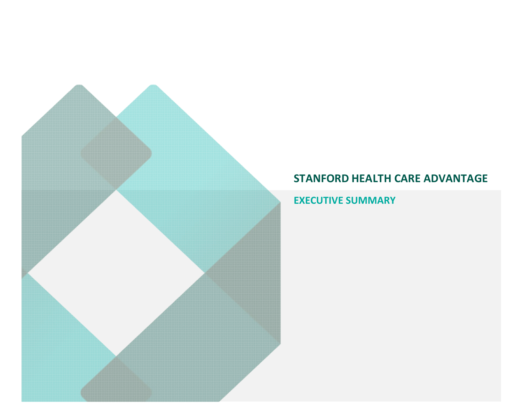**EXECUTIVE SUMMARY**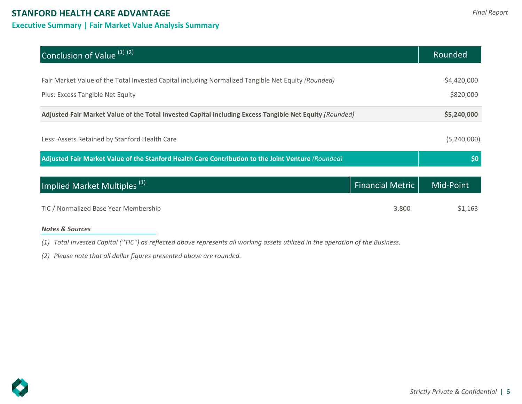## **Executive Summary | Fair Market Value Analysis Summary**

| Conclusion of Value <sup>(1)</sup> <sup>(2)</sup>                                                                                      |                         | Rounded                  |
|----------------------------------------------------------------------------------------------------------------------------------------|-------------------------|--------------------------|
| Fair Market Value of the Total Invested Capital including Normalized Tangible Net Equity (Rounded)<br>Plus: Excess Tangible Net Equity |                         | \$4,420,000<br>\$820,000 |
| Adjusted Fair Market Value of the Total Invested Capital including Excess Tangible Net Equity (Rounded)                                |                         | \$5,240,000              |
| Less: Assets Retained by Stanford Health Care                                                                                          |                         | (5,240,000)              |
| Adjusted Fair Market Value of the Stanford Health Care Contribution to the Joint Venture (Rounded)                                     |                         | \$0                      |
| Implied Market Multiples <sup>(1)</sup>                                                                                                | <b>Financial Metric</b> | Mid-Point                |
| TIC / Normalized Base Year Membership                                                                                                  | 3,800                   | \$1,163                  |

## *Notes & Sources*

*(1) Total Invested Capital (''TIC'') as reflected above represents all working assets utilized in the operation of the Business.*

*(2) Please note that all dollar figures presented above are rounded.*

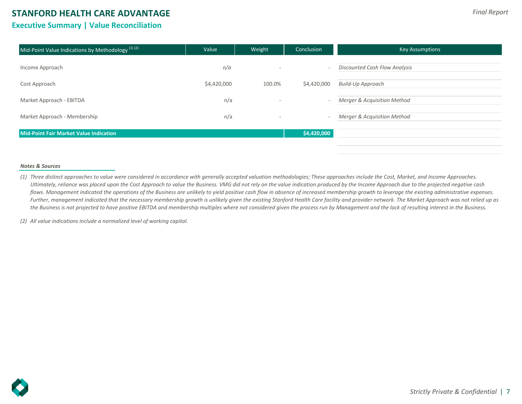## **Executive Summary | Value Reconciliation**

| Mid-Point Value Indications by Methodology $(1)(2)$ | Value       | Weight                   | Conclusion  | <b>Key Assumptions</b>                 |
|-----------------------------------------------------|-------------|--------------------------|-------------|----------------------------------------|
| Income Approach                                     | n/a         | $\overline{\phantom{a}}$ |             | <b>Discounted Cash Flow Analysis</b>   |
| Cost Approach                                       | \$4,420,000 | 100.0%                   | \$4,420,000 | <b>Build-Up Approach</b>               |
| Market Approach - EBITDA                            | n/a         |                          |             | <b>Merger &amp; Acquisition Method</b> |
| Market Approach - Membership                        | n/a         |                          |             | Merger & Acquisition Method            |
| <b>Mid-Point Fair Market Value Indication</b>       |             |                          | \$4,420,000 |                                        |
|                                                     |             |                          |             |                                        |

#### *Notes & Sources*

*(1) Three distinct approaches to value were considered in accordance with generally accepted valuation methodologies; These approaches include the Cost, Market, and Income Approaches. Ultimately, reliance was placed upon the Cost Approach to value the Business. VMG did not rely on the value indication produced by the Income Approach due to the projected negative cash flows. Management indicated the operations of the Business are unlikely to yield positive cash flow in absence of increased membership growth to leverage the existing administrative expenses.*  Further, management indicated that the necessary membership growth is unlikely given the existing Stanford Health Care facility and provider network. The Market Approach was not relied up as *the Business is not projected to have positive EBITDA and membership multiples where not considered given the process run by Management and the lack of resulting interest in the Business.*

*(2) All value indications include a normalized level of working capital.*

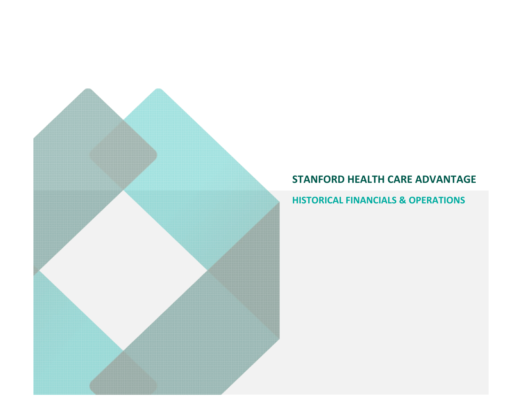## **HISTORICAL FINANCIALS & OPERATIONS**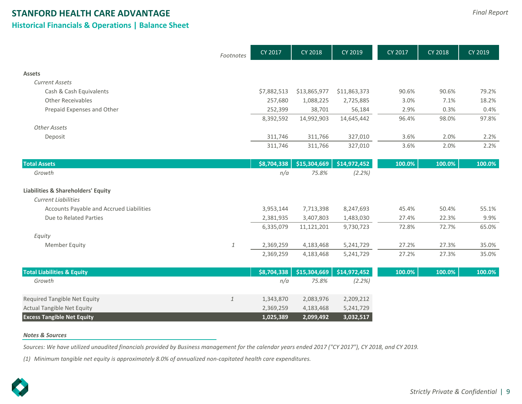## **STANFORD HEALTH CARE ADVANTAGE Historical Financials & Operations | Balance Sheet**

|                                                                             | Footnotes    | CY 2017                | <b>CY 2018</b> | CY 2019      | CY 2017 | <b>CY 2018</b> | CY 2019 |
|-----------------------------------------------------------------------------|--------------|------------------------|----------------|--------------|---------|----------------|---------|
| <b>Assets</b>                                                               |              |                        |                |              |         |                |         |
| <b>Current Assets</b>                                                       |              |                        |                |              |         |                |         |
| Cash & Cash Equivalents                                                     |              | \$7,882,513            | \$13,865,977   | \$11,863,373 | 90.6%   | 90.6%          | 79.2%   |
| <b>Other Receivables</b>                                                    |              | 257,680                | 1,088,225      | 2,725,885    | 3.0%    | 7.1%           | 18.2%   |
| Prepaid Expenses and Other                                                  |              | 252,399                | 38,701         | 56,184       | 2.9%    | 0.3%           | 0.4%    |
|                                                                             |              | 8,392,592              | 14,992,903     | 14,645,442   | 96.4%   | 98.0%          | 97.8%   |
| <b>Other Assets</b>                                                         |              |                        |                |              |         |                |         |
| Deposit                                                                     |              | 311,746                | 311,766        | 327,010      | 3.6%    | 2.0%           | 2.2%    |
|                                                                             |              | 311,746                | 311,766        | 327,010      | 3.6%    | 2.0%           | 2.2%    |
| <b>Total Assets</b>                                                         |              | \$8,704,338            | \$15,304,669   | \$14,972,452 | 100.0%  | 100.0%         | 100.0%  |
| Growth                                                                      |              | n/a                    | 75.8%          | (2.2%)       |         |                |         |
|                                                                             |              |                        |                |              |         |                |         |
| <b>Liabilities &amp; Shareholders' Equity</b><br><b>Current Liabilities</b> |              |                        |                |              |         |                |         |
| Accounts Payable and Accrued Liabilities                                    |              |                        | 7,713,398      | 8,247,693    | 45.4%   | 50.4%          | 55.1%   |
| Due to Related Parties                                                      |              | 3,953,144<br>2,381,935 | 3,407,803      | 1,483,030    | 27.4%   | 22.3%          | 9.9%    |
|                                                                             |              | 6,335,079              | 11,121,201     | 9,730,723    | 72.8%   | 72.7%          | 65.0%   |
| Equity                                                                      |              |                        |                |              |         |                |         |
| <b>Member Equity</b>                                                        | $\mathbf{1}$ | 2,369,259              | 4,183,468      | 5,241,729    | 27.2%   | 27.3%          | 35.0%   |
|                                                                             |              | 2,369,259              | 4,183,468      | 5,241,729    | 27.2%   | 27.3%          | 35.0%   |
| <b>Total Liabilities &amp; Equity</b>                                       |              | \$8,704,338            | \$15,304,669   | \$14,972,452 | 100.0%  | 100.0%         | 100.0%  |
| Growth                                                                      |              | n/a                    | 75.8%          | (2.2%)       |         |                |         |
|                                                                             |              |                        |                |              |         |                |         |
| <b>Required Tangible Net Equity</b>                                         | $\mathbf{1}$ | 1,343,870              | 2,083,976      | 2,209,212    |         |                |         |
| <b>Actual Tangible Net Equity</b>                                           |              | 2,369,259              | 4,183,468      | 5,241,729    |         |                |         |
| <b>Excess Tangible Net Equity</b>                                           |              | 1,025,389              | 2,099,492      | 3,032,517    |         |                |         |

#### *Notes & Sources*

*Sources: We have utilized unaudited financials provided by Business management for the calendar years ended 2017 ("CY 2017"), CY 2018, and CY 2019.*

*(1) Minimum tangible net equity is approximately 8.0% of annualized non-capitated health care expenditures.*

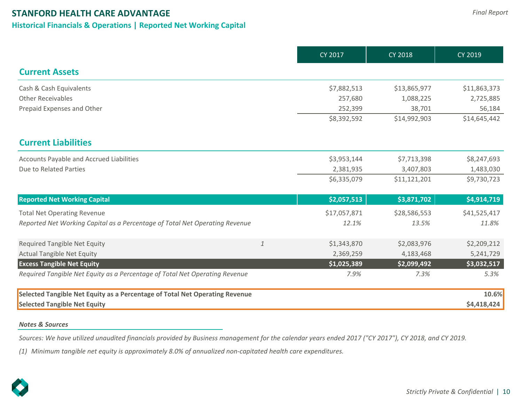## **Historical Financials & Operations | Reported Net Working Capital**

|                                                                             |              | <b>CY 2017</b> | <b>CY 2018</b> | <b>CY 2019</b> |
|-----------------------------------------------------------------------------|--------------|----------------|----------------|----------------|
| <b>Current Assets</b>                                                       |              |                |                |                |
| Cash & Cash Equivalents                                                     |              | \$7,882,513    | \$13,865,977   | \$11,863,373   |
| <b>Other Receivables</b>                                                    |              | 257,680        | 1,088,225      | 2,725,885      |
| Prepaid Expenses and Other                                                  |              | 252,399        | 38,701         | 56,184         |
|                                                                             |              | \$8,392,592    | \$14,992,903   | \$14,645,442   |
| <b>Current Liabilities</b>                                                  |              |                |                |                |
| Accounts Payable and Accrued Liabilities                                    |              | \$3,953,144    | \$7,713,398    | \$8,247,693    |
| Due to Related Parties                                                      |              | 2,381,935      | 3,407,803      | 1,483,030      |
|                                                                             |              | \$6,335,079    | \$11,121,201   | \$9,730,723    |
| <b>Reported Net Working Capital</b>                                         |              | \$2,057,513    | \$3,871,702    | \$4,914,719    |
| <b>Total Net Operating Revenue</b>                                          |              | \$17,057,871   | \$28,586,553   | \$41,525,417   |
| Reported Net Working Capital as a Percentage of Total Net Operating Revenue |              | 12.1%          | 13.5%          | 11.8%          |
| <b>Required Tangible Net Equity</b>                                         | $\mathbf{1}$ | \$1,343,870    | \$2,083,976    | \$2,209,212    |
| <b>Actual Tangible Net Equity</b>                                           |              | 2,369,259      | 4,183,468      | 5,241,729      |
| <b>Excess Tangible Net Equity</b>                                           |              | \$1,025,389    | \$2,099,492    | \$3,032,517    |
| Required Tangible Net Equity as a Percentage of Total Net Operating Revenue |              | 7.9%           | 7.3%           | 5.3%           |
| Selected Tangible Net Equity as a Percentage of Total Net Operating Revenue |              |                |                | 10.6%          |
| <b>Selected Tangible Net Equity</b>                                         |              |                |                | \$4,418,424    |

## *Notes & Sources*

*Sources: We have utilized unaudited financials provided by Business management for the calendar years ended 2017 ("CY 2017"), CY 2018, and CY 2019.*

*(1) Minimum tangible net equity is approximately 8.0% of annualized non-capitated health care expenditures.*

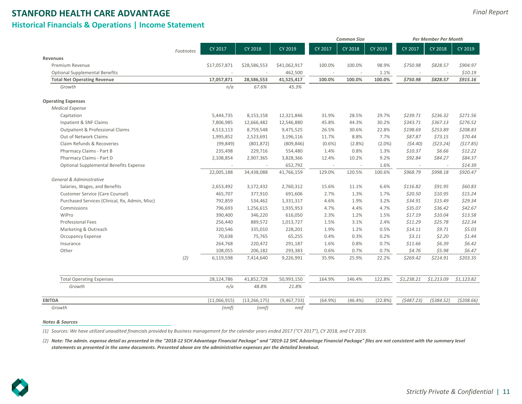## **STANFORD HEALTH CARE ADVANTAGE Historical Financials & Operations | Income Statement**

|                                                |           |              |                |              |                          | <b>Common Size</b> |           |            | Per Member Per Month |             |
|------------------------------------------------|-----------|--------------|----------------|--------------|--------------------------|--------------------|-----------|------------|----------------------|-------------|
|                                                | Footnotes | CY 2017      | <b>CY 2018</b> | CY 2019      | CY 2017                  | CY 2018            | CY 2019   | CY 2017    | CY 2018              | CY 2019     |
| Revenues                                       |           |              |                |              |                          |                    |           |            |                      |             |
| Premium Revenue                                |           | \$17,057,871 | \$28,586,553   | \$41,062,917 | 100.0%                   | 100.0%             | 98.9%     | \$750.98   | \$828.57             | \$904.97    |
| <b>Optional Supplemental Benefits</b>          |           |              |                | 462,500      | $\overline{\phantom{a}}$ |                    | 1.1%      |            |                      | \$10.19     |
| <b>Total Net Operating Revenue</b>             |           | 17,057,871   | 28,586,553     | 41,525,417   | 100.0%                   | 100.0%             | 100.0%    | \$750.98   | \$828.57             | \$915.16    |
| Growth                                         |           | n/a          | 67.6%          | 45.3%        |                          |                    |           |            |                      |             |
| <b>Operating Expenses</b>                      |           |              |                |              |                          |                    |           |            |                      |             |
| <b>Medical Expense</b>                         |           |              |                |              |                          |                    |           |            |                      |             |
| Capitation                                     |           | 5,444,735    | 8,153,158      | 12,321,846   | 31.9%                    | 28.5%              | 29.7%     | \$239.71   | \$236.32             | \$271.56    |
| Inpatient & SNF Claims                         |           | 7,806,985    | 12,666,482     | 12,546,880   | 45.8%                    | 44.3%              | 30.2%     | \$343.71   | \$367.13             | \$276.52    |
| <b>Outpatient &amp; Professional Claims</b>    |           | 4,513,113    | 8,759,548      | 9,475,525    | 26.5%                    | 30.6%              | 22.8%     | \$198.69   | \$253.89             | \$208.83    |
| Out of Network Claims                          |           | 1,995,852    | 2,523,691      | 3,196,116    | 11.7%                    | 8.8%               | 7.7%      | \$87.87    | \$73.15              | \$70.44     |
| Claim Refunds & Recoveries                     |           | (99, 849)    | (801, 872)     | (809, 846)   | $(0.6\%)$                | (2.8%)             | $(2.0\%)$ | (54.40)    | (523.24)             | (\$17.85)   |
| Pharmacy Claims - Part B                       |           | 235,498      | 229,716        | 554,480      | 1.4%                     | 0.8%               | 1.3%      | \$10.37    | \$6.66               | \$12.22     |
| Pharmacy Claims - Part D                       |           | 2,108,854    | 2,907,365      | 3,828,366    | 12.4%                    | 10.2%              | 9.2%      | \$92.84    | \$84.27              | \$84.37     |
| Optional Supplemental Benefits Expense         |           |              |                | 652,792      | $\sim$                   |                    | 1.6%      |            |                      | \$14.39     |
|                                                |           | 22,005,188   | 34,438,088     | 41,766,159   | 129.0%                   | 120.5%             | 100.6%    | \$968.79   | \$998.18             | \$920.47    |
| General & Administrative                       |           |              |                |              |                          |                    |           |            |                      |             |
| Salaries, Wages, and Benefits                  |           | 2,653,492    | 3,172,432      | 2,760,312    | 15.6%                    | 11.1%              | 6.6%      | \$116.82   | \$91.95              | \$60.83     |
| Customer Service (Care Counsel)                |           | 465,707      | 377,910        | 691,606      | 2.7%                     | 1.3%               | 1.7%      | \$20.50    | \$10.95              | \$15.24     |
| Purchased Services (Clinical, Rx, Admin, Misc) |           | 792,859      | 534,462        | 1,331,317    | 4.6%                     | 1.9%               | 3.2%      | \$34.91    | \$15.49              | \$29.34     |
| Commissions                                    |           | 796,693      | 1,256,615      | 1,935,953    | 4.7%                     | 4.4%               | 4.7%      | \$35.07    | \$36.42              | \$42.67     |
| WiPro                                          |           | 390,400      | 346,220        | 616,050      | 2.3%                     | 1.2%               | 1.5%      | \$17.19    | \$10.04              | \$13.58     |
| <b>Professional Fees</b>                       |           | 256,440      | 889,572        | 1,013,727    | 1.5%                     | 3.1%               | 2.4%      | \$11.29    | \$25.78              | \$22.34     |
| Marketing & Outreach                           |           | 320,546      | 335,010        | 228,201      | 1.9%                     | 1.2%               | 0.5%      | \$14.11    | \$9.71               | \$5.03\$    |
| <b>Occupancy Expense</b>                       |           | 70,638       | 75,765         | 65,255       | 0.4%                     | 0.3%               | 0.2%      | 53.11      | \$2.20               | \$1.44      |
| Insurance                                      |           | 264,768      | 220,472        | 291,187      | 1.6%                     | 0.8%               | 0.7%      | \$11.66    | \$6.39               | \$6.42      |
| Other                                          |           | 108,055      | 206,182        | 293,383      | 0.6%                     | 0.7%               | 0.7%      | \$4.76     | \$5.98               | \$6.47      |
|                                                | (2)       | 6,119,598    | 7,414,640      | 9,226,991    | 35.9%                    | 25.9%              | 22.2%     | \$269.42   | \$214.91             | \$203.35    |
| <b>Total Operating Expenses</b>                |           | 28,124,786   | 41,852,728     | 50,993,150   | 164.9%                   | 146.4%             | 122.8%    | \$1,238.21 | \$1,213.09           | \$1,123.82  |
| Growth                                         |           | n/a          | 48.8%          | 21.8%        |                          |                    |           |            |                      |             |
| <b>EBITDA</b>                                  |           | (11,066,915) | (13, 266, 175) | (9,467,733)  | (64.9%)                  | $(46.4\%)$         | (22.8%)   | (5487.23)  | (5384.52)            | ( \$208.66) |
| Growth                                         |           | (nmf)        | (nmf)          | nmf          |                          |                    |           |            |                      |             |

#### *Notes & Sources*

*(1) Sources: We have utilized unaudited financials provided by Business management for the calendar years ended 2017 ("CY 2017"), CY 2018, and CY 2019.*

*(2) Note: The admin. expense detail as presented in the "2018-12 SCH Advantage Financial Package" and "2019-12 SHC Advantage Financial Package" files are not consistent with the summary level statements as presented in the same documents. Presented above are the administrative expenses per the detailed breakout.*

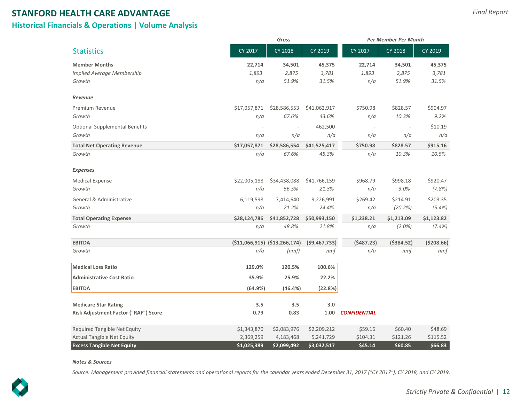## **STANFORD HEALTH CARE ADVANTAGE Historical Financials & Operations | Volume Analysis**

|                                       |              | Gross                           |                | <b>Per Member Per Month</b> |             |             |  |
|---------------------------------------|--------------|---------------------------------|----------------|-----------------------------|-------------|-------------|--|
| <b>Statistics</b>                     | CY 2017      | <b>CY 2018</b>                  | CY 2019        | CY 2017                     | CY 2018     | CY 2019     |  |
| <b>Member Months</b>                  | 22,714       | 34,501                          | 45,375         | 22,714                      | 34,501      | 45,375      |  |
| Implied Average Membership            | 1,893        | 2,875                           | 3,781          | 1,893                       | 2,875       | 3,781       |  |
| Growth                                | n/a          | 51.9%                           | 31.5%          | n/a                         | 51.9%       | 31.5%       |  |
| Revenue                               |              |                                 |                |                             |             |             |  |
| Premium Revenue                       | \$17,057,871 | \$28,586,553                    | \$41,062,917   | \$750.98                    | \$828.57    | \$904.97    |  |
| Growth                                | n/a          | 67.6%                           | 43.6%          | n/a                         | 10.3%       | 9.2%        |  |
| <b>Optional Supplemental Benefits</b> |              |                                 | 462,500        |                             |             | \$10.19     |  |
| Growth                                | n/a          | n/a                             | n/a            | n/a                         | n/a         | n/a         |  |
| <b>Total Net Operating Revenue</b>    | \$17,057,871 | \$28,586,554                    | \$41,525,417   | \$750.98                    | \$828.57    | \$915.16    |  |
| Growth                                | n/a          | 67.6%                           | 45.3%          | n/a                         | 10.3%       | 10.5%       |  |
| Expenses                              |              |                                 |                |                             |             |             |  |
| <b>Medical Expense</b>                | \$22,005,188 | \$34,438,088                    | \$41,766,159   | \$968.79                    | \$998.18    | \$920.47    |  |
| Growth                                | n/a          | 56.5%                           | 21.3%          | n/a                         | 3.0%        | (7.8%)      |  |
| General & Administrative              | 6,119,598    | 7,414,640                       | 9,226,991      | \$269.42                    | \$214.91    | \$203.35    |  |
| Growth                                | n/a          | 21.2%                           | 24.4%          | n/a                         | (20.2%)     | (5.4%)      |  |
| <b>Total Operating Expense</b>        | \$28,124,786 | \$41,852,728                    | \$50,993,150   | \$1,238.21                  | \$1,213.09  | \$1,123.82  |  |
| Growth                                | n/a          | 48.8%                           | 21.8%          | n/a                         | $(2.0\%)$   | (7.4%)      |  |
| <b>EBITDA</b>                         |              | $(511,066,915)$ $(513,266,174)$ | (59, 467, 733) | (5487.23)                   | ( \$384.52) | ( \$208.66) |  |
| Growth                                | n/a          | (nmf)                           | nmf            | n/a                         | nmf         | nmf         |  |
| <b>Medical Loss Ratio</b>             | 129.0%       | 120.5%                          | 100.6%         |                             |             |             |  |
| <b>Administrative Cost Ratio</b>      | 35.9%        | 25.9%                           | 22.2%          |                             |             |             |  |
| <b>EBITDA</b>                         | (64.9%)      | (46.4%)                         | (22.8%)        |                             |             |             |  |
| <b>Medicare Star Rating</b>           | 3.5          | 3.5                             | 3.0            |                             |             |             |  |
| Risk Adjustment Factor ("RAF") Score  | 0.79         | 0.83                            | 1.00           | <b>CONFIDENTIAL</b>         |             |             |  |
| Required Tangible Net Equity          | \$1,343,870  | \$2,083,976                     | \$2,209,212    | \$59.16                     | \$60.40     | \$48.69     |  |
| <b>Actual Tangible Net Equity</b>     | 2,369,259    | 4,183,468                       | 5,241,729      | \$104.31                    | \$121.26    | \$115.52    |  |
| <b>Excess Tangible Net Equity</b>     | \$1,025,389  | \$2,099,492                     | \$3,032,517    | \$45.14                     | \$60.85     | \$66.83     |  |

#### *Notes & Sources*

*Source: Management provided financial statements and operational reports for the calendar years ended December 31, 2017 ("CY 2017"), CY 2018, and CY 2019.*

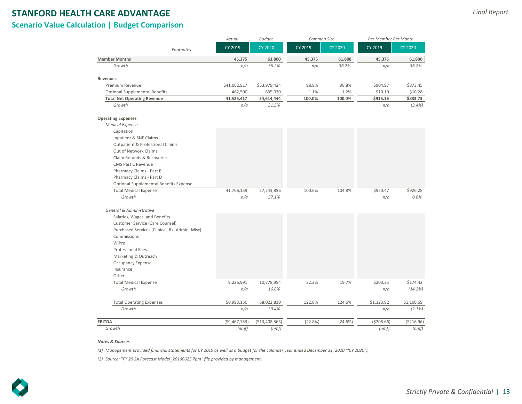**Scenario Value Calculation | Budget Comparison**

|                                                | Actual         | <b>Budget</b>   | Common Size |                | Per Member Per Month |                |  |  |
|------------------------------------------------|----------------|-----------------|-------------|----------------|----------------------|----------------|--|--|
| Footnotes                                      | CY 2019        | <b>CY 2020</b>  | CY 2019     | <b>CY 2020</b> | CY 2019              | <b>CY 2020</b> |  |  |
| <b>Member Months</b>                           | 45,375         | 61,800          | 45,375      | 61,800         | 45,375               | 61,800         |  |  |
| Growth                                         | n/a            | 36.2%           | n/a         | 36.2%          | n/a                  | 36.2%          |  |  |
| <b>Revenues</b>                                |                |                 |             |                |                      |                |  |  |
| Premium Revenue                                | \$41,062,917   | \$53,979,424    | 98.9%       | 98.8%          | \$904.97             | \$873.45       |  |  |
| <b>Optional Supplemental Benefits</b>          | 462,500        | 635,020         | 1.1%        | 1.2%           | \$10.19              | \$10.28        |  |  |
| <b>Total Net Operating Revenue</b>             | 41,525,417     | 54,614,444      | 100.0%      | 100.0%         | \$915.16             | \$883.73       |  |  |
| Growth                                         | n/a            | 31.5%           |             |                | n/a                  | (3.4%)         |  |  |
| <b>Operating Expenses</b>                      |                |                 |             |                |                      |                |  |  |
| <b>Medical Expense</b>                         |                |                 |             |                |                      |                |  |  |
| Capitation                                     |                |                 |             |                |                      |                |  |  |
| Inpatient & SNF Claims                         |                |                 |             |                |                      |                |  |  |
| <b>Outpatient &amp; Professional Claims</b>    |                |                 |             |                |                      |                |  |  |
| Out of Network Claims                          |                |                 |             |                |                      |                |  |  |
| Claim Refunds & Recoveries                     |                |                 |             |                |                      |                |  |  |
| <b>CMS Part C Revenue</b>                      |                |                 |             |                |                      |                |  |  |
| Pharmacy Claims - Part B                       |                |                 |             |                |                      |                |  |  |
| Pharmacy Claims - Part D                       |                |                 |             |                |                      |                |  |  |
| Optional Supplemental Benefits Expense         |                |                 |             |                |                      |                |  |  |
| <b>Total Medical Expense</b>                   | 41,766,159     | 57,243,856      | 100.6%      | 104.8%         | \$920.47             | \$926.28       |  |  |
| Growth                                         | n/a            | 37.1%           |             |                | n/a                  | 0.6%           |  |  |
| General & Administrative                       |                |                 |             |                |                      |                |  |  |
| Salaries, Wages, and Benefits                  |                |                 |             |                |                      |                |  |  |
| Customer Service (Care Counsel)                |                |                 |             |                |                      |                |  |  |
| Purchased Services (Clinical, Rx, Admin, Misc) |                |                 |             |                |                      |                |  |  |
| Commissions                                    |                |                 |             |                |                      |                |  |  |
| WiPro                                          |                |                 |             |                |                      |                |  |  |
| <b>Professional Fees</b>                       |                |                 |             |                |                      |                |  |  |
| Marketing & Outreach                           |                |                 |             |                |                      |                |  |  |
| <b>Occupancy Expense</b>                       |                |                 |             |                |                      |                |  |  |
| Insurance                                      |                |                 |             |                |                      |                |  |  |
| Other                                          |                |                 |             |                |                      |                |  |  |
| <b>Total Medical Expense</b>                   | 9,226,991      | 10,778,954      | 22.2%       | 19.7%          | \$203.35             | \$174.42       |  |  |
| Growth                                         | n/a            | 16.8%           |             |                | n/a                  | (14.2%)        |  |  |
| <b>Total Operating Expenses</b>                | 50,993,150     | 68,022,810      | 122.8%      | 124.6%         | \$1,123.82           | \$1,100.69     |  |  |
| Growth                                         | n/a            | 33.4%           |             |                | n/a                  | (2.1%)         |  |  |
| <b>EBITDA</b>                                  | (59, 467, 733) | ( \$13,408,365) | (22.8%)     | (24.6%)        | ( \$208.66)          | ( \$216.96)    |  |  |
| Growth                                         | (nmf)          | (nmf)           |             |                | (nmf)                | (nmf)          |  |  |

#### *Notes & Sources*

*(1) Management provided financial statements for CY 2019 as well as a budget for the calander year ended December 31, 2020 ("CY 2020").*

*(2) Source: "FY 20 SA Forecast Model\_20190625 7pm" file provided by management.*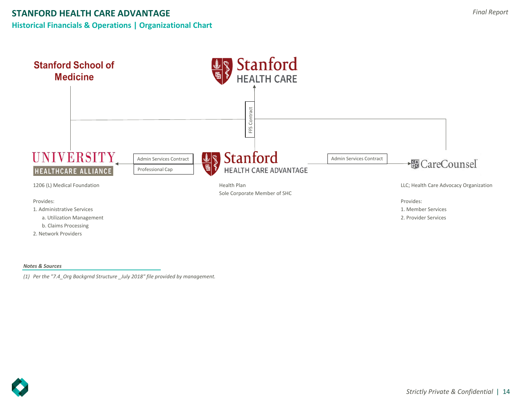



#### *Notes & Sources*

*(1) Per the "7.4\_Org Backgrnd Structure \_July 2018" file provided by management.*

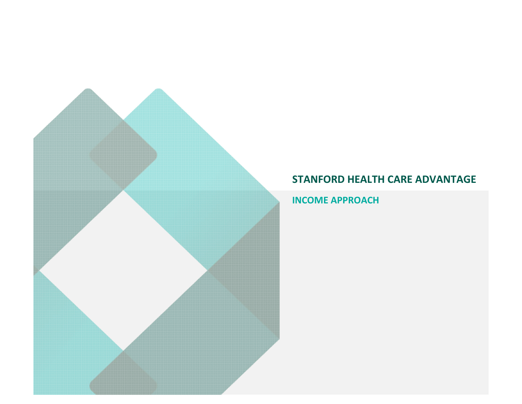**INCOME APPROACH**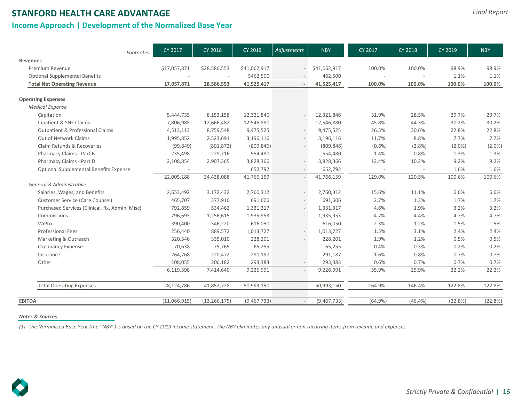**Income Approach | Development of the Normalized Base Year**

| Footnotes                                      | CY 2017      | <b>CY 2018</b> | CY 2019      | Adjustments              | <b>NBY</b>   | CY 2017    | <b>CY 2018</b> | CY 2019   | <b>NBY</b> |
|------------------------------------------------|--------------|----------------|--------------|--------------------------|--------------|------------|----------------|-----------|------------|
| <b>Revenues</b>                                |              |                |              |                          |              |            |                |           |            |
| Premium Revenue                                | \$17,057,871 | \$28,586,553   | \$41,062,917 |                          | \$41,062,917 | 100.0%     | 100.0%         | 98.9%     | 98.9%      |
| <b>Optional Supplemental Benefits</b>          |              |                | \$462,500    |                          | 462,500      |            |                | 1.1%      | 1.1%       |
| <b>Total Net Operating Revenue</b>             | 17,057,871   | 28,586,553     | 41,525,417   | $\sim$                   | 41,525,417   | 100.0%     | 100.0%         | 100.0%    | 100.0%     |
| <b>Operating Expenses</b>                      |              |                |              |                          |              |            |                |           |            |
| <b>Medical Expense</b>                         |              |                |              |                          |              |            |                |           |            |
| Capitation                                     | 5,444,735    | 8,153,158      | 12,321,846   |                          | 12,321,846   | 31.9%      | 28.5%          | 29.7%     | 29.7%      |
| Inpatient & SNF Claims                         | 7,806,985    | 12,666,482     | 12,546,880   |                          | 12,546,880   | 45.8%      | 44.3%          | 30.2%     | 30.2%      |
| <b>Outpatient &amp; Professional Claims</b>    | 4,513,113    | 8,759,548      | 9,475,525    |                          | 9,475,525    | 26.5%      | 30.6%          | 22.8%     | 22.8%      |
| Out of Network Claims                          | 1,995,852    | 2,523,691      | 3,196,116    |                          | 3,196,116    | 11.7%      | 8.8%           | 7.7%      | 7.7%       |
| Claim Refunds & Recoveries                     | (99, 849)    | (801, 872)     | (809, 846)   |                          | (809, 846)   | $(0.6\%)$  | $(2.8\%)$      | $(2.0\%)$ | $(2.0\%)$  |
| Pharmacy Claims - Part B                       | 235,498      | 229,716        | 554,480      |                          | 554,480      | 1.4%       | 0.8%           | 1.3%      | 1.3%       |
| Pharmacy Claims - Part D                       | 2,108,854    | 2,907,365      | 3,828,366    | $\sim$                   | 3,828,366    | 12.4%      | 10.2%          | 9.2%      | 9.2%       |
| Optional Supplemental Benefits Expense         |              |                | 652,792      |                          | 652,792      |            |                | 1.6%      | 1.6%       |
|                                                | 22,005,188   | 34,438,088     | 41,766,159   |                          | 41,766,159   | 129.0%     | 120.5%         | 100.6%    | 100.6%     |
| General & Administrative                       |              |                |              |                          |              |            |                |           |            |
| Salaries, Wages, and Benefits                  | 2,653,492    | 3,172,432      | 2,760,312    |                          | 2,760,312    | 15.6%      | 11.1%          | 6.6%      | 6.6%       |
| Customer Service (Care Counsel)                | 465,707      | 377,910        | 691,606      |                          | 691,606      | 2.7%       | 1.3%           | 1.7%      | 1.7%       |
| Purchased Services (Clinical, Rx, Admin, Misc) | 792,859      | 534,462        | 1,331,317    |                          | 1,331,317    | 4.6%       | 1.9%           | 3.2%      | 3.2%       |
| Commissions                                    | 796,693      | 1,256,615      | 1,935,953    |                          | 1,935,953    | 4.7%       | 4.4%           | 4.7%      | 4.7%       |
| WiPro                                          | 390,400      | 346,220        | 616,050      |                          | 616,050      | 2.3%       | 1.2%           | 1.5%      | 1.5%       |
| <b>Professional Fees</b>                       | 256,440      | 889,572        | 1,013,727    |                          | 1,013,727    | 1.5%       | 3.1%           | 2.4%      | 2.4%       |
| Marketing & Outreach                           | 320,546      | 335,010        | 228,201      |                          | 228,201      | 1.9%       | 1.2%           | 0.5%      | 0.5%       |
| <b>Occupancy Expense</b>                       | 70,638       | 75,765         | 65,255       |                          | 65,255       | 0.4%       | 0.3%           | 0.2%      | 0.2%       |
| Insurance                                      | 264,768      | 220,472        | 291,187      |                          | 291,187      | 1.6%       | 0.8%           | 0.7%      | 0.7%       |
| Other                                          | 108,055      | 206,182        | 293,383      | $\overline{\phantom{a}}$ | 293,383      | 0.6%       | 0.7%           | 0.7%      | 0.7%       |
|                                                | 6,119,598    | 7,414,640      | 9,226,991    | $\sim$                   | 9,226,991    | 35.9%      | 25.9%          | 22.2%     | 22.2%      |
| <b>Total Operating Expenses</b>                | 28,124,786   | 41,852,728     | 50,993,150   | $\sim$                   | 50,993,150   | 164.9%     | 146.4%         | 122.8%    | 122.8%     |
| <b>EBITDA</b>                                  | (11,066,915) | (13, 266, 175) | (9,467,733)  | $\sim$                   | (9,467,733)  | $(64.9\%)$ | $(46.4\%)$     | (22.8%)   | (22.8%)    |

#### *Notes & Sources*

*(1) The Normalized Base Year (the ''NBY'') is based on the CY 2019 income statement. The NBY eliminates any unusual or non-recurring items from revenue and expenses.*

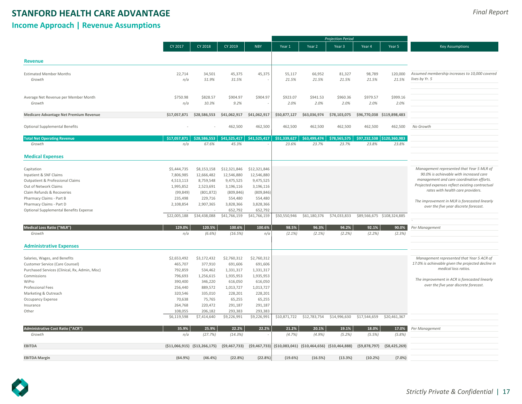## **Income Approach | Revenue Assumptions**

|                                                |              |                                 |                |                          |              |                                                 | <b>Projection Period</b> |              |                            |                                                    |
|------------------------------------------------|--------------|---------------------------------|----------------|--------------------------|--------------|-------------------------------------------------|--------------------------|--------------|----------------------------|----------------------------------------------------|
|                                                | CY 2017      | CY 2018                         | CY 2019        | <b>NBY</b>               | Year 1       | Year 2                                          | Year 3                   | Year 4       | Year 5                     | <b>Key Assumptions</b>                             |
|                                                |              |                                 |                |                          |              |                                                 |                          |              |                            |                                                    |
| <b>Revenue</b>                                 |              |                                 |                |                          |              |                                                 |                          |              |                            |                                                    |
| <b>Estimated Member Months</b>                 | 22,714       | 34,501                          | 45,375         | 45,375                   | 55,117       | 66,952                                          | 81,327                   | 98,789       | 120,000                    | Assumed membership increases to 10,000 covered     |
| Growth                                         | n/a          | 51.9%                           | 31.5%          |                          | 21.5%        | 21.5%                                           | 21.5%                    | 21.5%        | 21.5%                      | lives by Yr. 5                                     |
|                                                |              |                                 |                |                          |              |                                                 |                          |              |                            |                                                    |
| Average Net Revenue per Member Month           | \$750.98     | \$828.57                        | \$904.97       | \$904.97                 | \$923.07     | \$941.53                                        | \$960.36                 | \$979.57     | \$999.16                   |                                                    |
| Growth                                         | n/a          | 10.3%                           | 9.2%           |                          | 2.0%         | 2.0%                                            | 2.0%                     | 2.0%         | 2.0%                       |                                                    |
| Medicare Advantage Net Premium Revenue         | \$17,057,871 | \$28,586,553                    | \$41,062,917   | \$41,062,917             | \$50,877,127 | \$63,036,974                                    | \$78,103,075             |              | \$96,770,038 \$119,898,483 |                                                    |
| <b>Optional Supplemental Benefits</b>          |              |                                 | 462,500        | 462,500                  | 462,500      | 462,500                                         | 462,500                  | 462,500      | 462,500                    | No Growth                                          |
|                                                |              |                                 |                |                          |              |                                                 |                          |              |                            |                                                    |
| <b>Total Net Operating Revenue</b>             | \$17,057,871 | \$28.586.553                    | \$41.525.417   | \$41,525,417             | \$51,339,627 | \$63.499.474                                    | \$78,565,575             | \$97,232,538 | \$120,360,983              |                                                    |
| Growth                                         | n/a          | 67.6%                           | 45.3%          |                          | 23.6%        | 23.7%                                           | 23.7%                    | 23.8%        | 23.8%                      |                                                    |
| <b>Medical Expenses</b>                        |              |                                 |                |                          |              |                                                 |                          |              |                            |                                                    |
| Capitation                                     | \$5,444,735  | \$8,153,158                     | \$12,321,846   | \$12,321,846             |              |                                                 |                          |              |                            | Management represented that Year 5 MLR of          |
| Inpatient & SNF Claims                         | 7,806,985    | 12,666,482                      | 12,546,880     | 12,546,880               |              |                                                 |                          |              |                            | 90.0% is achievable with increased care            |
| Outpatient & Professional Claims               | 4,513,113    | 8,759,548                       | 9,475,525      | 9,475,525                |              |                                                 |                          |              |                            | management and care coordination efforts.          |
| Out of Network Claims                          | 1,995,852    | 2,523,691                       | 3,196,116      | 3,196,116                |              |                                                 |                          |              |                            | Projected expenses reflect existing contractual    |
| Claim Refunds & Recoveries                     | (99, 849)    | (801, 872)                      | (809, 846)     | (809, 846)               |              |                                                 |                          |              |                            | rates with health care providers.                  |
| Pharmacy Claims - Part B                       | 235,498      | 229,716                         | 554,480        | 554,480                  |              |                                                 |                          |              |                            |                                                    |
| Pharmacy Claims - Part D                       | 2,108,854    | 2,907,365                       | 3,828,366      | 3,828,366                |              |                                                 |                          |              |                            | The improvement in MLR is forecasted linearly      |
| Optional Supplemental Benefits Expense         |              |                                 | 652,792        | 652,792                  |              |                                                 |                          |              |                            | over the five year discrete forecast.              |
|                                                | \$22,005,188 | \$34,438,088                    | \$41,766,159   | \$41,766,159             | \$50,550,946 | \$61,180,376                                    | \$74,033,833             |              | \$89,566,675 \$108,324,885 |                                                    |
|                                                |              |                                 |                |                          |              |                                                 |                          |              |                            |                                                    |
| <b>Medical Loss Ratio ("MLR")</b>              | 129.0%       | 120.5%                          | 100.6%         | 100.6%                   | 98.5%        | 96.3%                                           | 94.2%                    | 92.1%        | 90.0%                      | Per Management                                     |
| Growth                                         | n/a          | (6.6%)                          | (16.5%)        | n/a                      | $(2.1\%)$    | $(2.1\%)$                                       | (2.2%)                   | (2.2%)       | (2.3%)                     |                                                    |
| <b>Administrative Expenses</b>                 |              |                                 |                |                          |              |                                                 |                          |              |                            |                                                    |
| Salaries, Wages, and Benefits                  | \$2,653,492  | \$3,172,432                     | \$2,760,312    | \$2,760,312              |              |                                                 |                          |              |                            | Management represented that Year 5 ACR of          |
| Customer Service (Care Counsel)                | 465,707      | 377,910                         | 691,606        | 691,606                  |              |                                                 |                          |              |                            | 17.0% is achievable given the projected decline in |
| Purchased Services (Clinical, Rx, Admin, Misc) | 792,859      | 534,462                         | 1,331,317      | 1,331,317                |              |                                                 |                          |              |                            | medical loss ratios.                               |
| Commissions                                    | 796,693      | 1,256,615                       | 1,935,953      | 1,935,953                |              |                                                 |                          |              |                            |                                                    |
| WiPro                                          | 390,400      | 346,220                         | 616,050        | 616,050                  |              |                                                 |                          |              |                            | The improvement in ACR is forecasted linearly      |
| Professional Fees                              | 256,440      | 889,572                         | 1,013,727      | 1,013,727                |              |                                                 |                          |              |                            | over the five year discrete forecast.              |
| Marketing & Outreach                           | 320,546      | 335,010                         | 228,201        | 228,201                  |              |                                                 |                          |              |                            |                                                    |
| Occupancy Expense                              | 70,638       | 75,765                          | 65,255         | 65,255                   |              |                                                 |                          |              |                            |                                                    |
| Insurance                                      | 264,768      | 220,472                         | 291,187        | 291,187                  |              |                                                 |                          |              |                            |                                                    |
| Other                                          | 108,055      | 206,182                         | 293,383        | 293.383                  |              |                                                 |                          |              |                            |                                                    |
|                                                | \$6,119,598  | \$7,414,640                     | \$9,226,991    | \$9,226,991              | \$10,871,722 | \$12,783,754                                    | \$14,996,630             | \$17,544,659 | \$20,461,367               |                                                    |
| Administrative Cost Ratio ("ACR")              | 35.9%        | 25.9%                           | 22.2%          | 22.2%                    | 21.2%        | 20.1%                                           | 19.1%                    | 18.0%        | 17.0%                      | Per Management                                     |
| Growth                                         | n/a          | (27.7%)                         | (14.3%)        | $\overline{\phantom{a}}$ | (4.7%)       | (4.9%)                                          | (5.2%)                   | (5.5%)       | (5.8%)                     |                                                    |
| <b>EBITDA</b>                                  |              | $(511,066,915)$ $(513,266,175)$ | (59, 467, 733) | ( \$9,467,733)           |              | $(510,083,041)$ $(510,464,656)$ $(510,464,888)$ |                          | (59,878,797) | ( \$8,425,269)             |                                                    |
| <b>EBITDA Margin</b>                           | (64.9%       | (46.4%                          | (22.8%)        | (22.8%                   | (19.6%)      | (16.5%)                                         | (13.3%)                  | (10.2%       | $(7.0\%)$                  |                                                    |

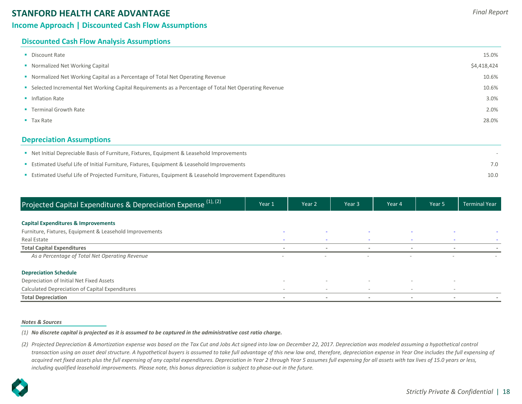## **Income Approach | Discounted Cash Flow Assumptions**

## **Discounted Cash Flow Analysis Assumptions**

| <b>Depreciation Assumptions</b>                                                                        |             |
|--------------------------------------------------------------------------------------------------------|-------------|
| $\blacksquare$ Tax Rate                                                                                | 28.0%       |
| • Terminal Growth Rate                                                                                 | 2.0%        |
| • Inflation Rate                                                                                       | 3.0%        |
| • Selected Incremental Net Working Capital Requirements as a Percentage of Total Net Operating Revenue | 10.6%       |
| • Normalized Net Working Capital as a Percentage of Total Net Operating Revenue                        | 10.6%       |
| • Normalized Net Working Capital                                                                       | \$4,418,424 |
| • Discount Rate                                                                                        | 15.0%       |
|                                                                                                        |             |

| • Net Initial Depreciable Basis of Furniture, Fixtures, Equipment & Leasehold Improvements                     |      |
|----------------------------------------------------------------------------------------------------------------|------|
| <b>Example 15 Estimated Useful Life of Initial Furniture, Fixtures, Equipment &amp; Leasehold Improvements</b> |      |
| Estimated Useful Life of Projected Furniture, Fixtures, Equipment & Leasehold Improvement Expenditures         | 10.0 |

| Projected Capital Expenditures & Depreciation Expense <sup>(1),(2)</sup> | Year 1                   | Year 2                   | Year 3                   | Year 4                   | Year <sub>5</sub>        | <b>Terminal Year</b> |
|--------------------------------------------------------------------------|--------------------------|--------------------------|--------------------------|--------------------------|--------------------------|----------------------|
|                                                                          |                          |                          |                          |                          |                          |                      |
| <b>Capital Expenditures &amp; Improvements</b>                           |                          |                          |                          |                          |                          |                      |
| Furniture, Fixtures, Equipment & Leasehold Improvements                  | $\sim$                   | $\overline{\phantom{a}}$ |                          |                          |                          |                      |
| Real Estate                                                              |                          | $\sim$                   |                          |                          |                          |                      |
| <b>Total Capital Expenditures</b>                                        |                          | $\,$                     |                          |                          |                          |                      |
| As a Percentage of Total Net Operating Revenue                           | $\overline{\phantom{a}}$ | $\overline{\phantom{a}}$ | $\sim$                   |                          | $\overline{\phantom{a}}$ |                      |
| <b>Depreciation Schedule</b>                                             |                          |                          |                          |                          |                          |                      |
| Depreciation of Initial Net Fixed Assets                                 | $\sim$                   | -                        |                          |                          |                          |                      |
| Calculated Depreciation of Capital Expenditures                          | $\sim$                   | $\sim$                   | $\overline{\phantom{a}}$ | $\overline{\phantom{a}}$ | $\overline{\phantom{a}}$ |                      |
| <b>Total Depreciation</b>                                                | $\sim$                   | $\overline{\phantom{a}}$ | $\overline{\phantom{a}}$ | $\overline{\phantom{a}}$ | $\overline{\phantom{a}}$ | $\,$                 |

#### *Notes & Sources*

*(1) No discrete capital is projected as it is assumed to be captured in the administrative cost ratio charge.*

*(2) Projected Depreciation & Amortization expense was based on the Tax Cut and Jobs Act signed into law on December 22, 2017. Depreciation was modeled assuming a hypothetical control transaction using an asset deal structure. A hypothetical buyers is assumed to take full advantage of this new law and, therefore, depreciation expense in Year One includes the full expensing of acquired net fixed assets plus the full expensing of any capital expenditures. Depreciation in Year 2 through Year 5 assumes full expensing for all assets with tax lives of 15.0 years or less, including qualified leasehold improvements. Please note, this bonus depreciation is subject to phase-out in the future.*

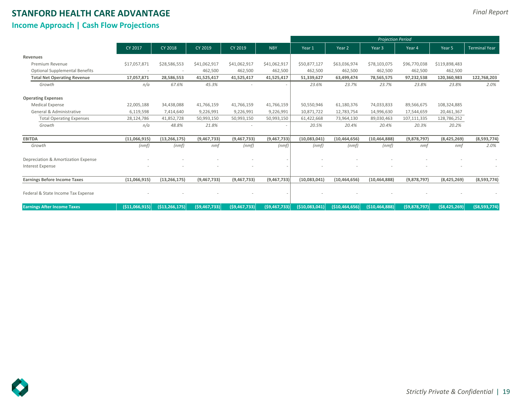## **Income Approach | Cash Flow Projections**

*Final Report*

|                                       | CY 2017         | <b>CY 2018</b>    | CY 2019        | CY 2019                  | <b>NBY</b>     | Year 1        | Year <sub>2</sub> | Year 3          | Year 4       | Year 5         | <b>Terminal Year</b> |
|---------------------------------------|-----------------|-------------------|----------------|--------------------------|----------------|---------------|-------------------|-----------------|--------------|----------------|----------------------|
| Revenues                              |                 |                   |                |                          |                |               |                   |                 |              |                |                      |
| Premium Revenue                       | \$17,057,871    | \$28,586,553      | \$41,062,917   | \$41,062,917             | \$41,062,917   | \$50,877,127  | \$63,036,974      | \$78,103,075    | \$96,770,038 | \$119,898,483  |                      |
| <b>Optional Supplemental Benefits</b> | $\sim$          |                   | 462,500        | 462,500                  | 462,500        | 462,500       | 462,500           | 462,500         | 462,500      | 462,500        |                      |
| <b>Total Net Operating Revenue</b>    | 17,057,871      | 28,586,553        | 41,525,417     | 41,525,417               | 41,525,417     | 51,339,627    | 63,499,474        | 78,565,575      | 97,232,538   | 120,360,983    | 122,768,203          |
| Growth                                | n/a             | 67.6%             | 45.3%          | $\sim$                   | $\sim$         | 23.6%         | 23.7%             | 23.7%           | 23.8%        | 23.8%          | 2.0%                 |
| <b>Operating Expenses</b>             |                 |                   |                |                          |                |               |                   |                 |              |                |                      |
| <b>Medical Expense</b>                | 22,005,188      | 34,438,088        | 41,766,159     | 41,766,159               | 41,766,159     | 50,550,946    | 61,180,376        | 74,033,833      | 89,566,675   | 108,324,885    |                      |
| General & Administrative              | 6,119,598       | 7,414,640         | 9,226,991      | 9,226,991                | 9,226,991      | 10,871,722    | 12,783,754        | 14,996,630      | 17,544,659   | 20,461,367     |                      |
| <b>Total Operating Expenses</b>       | 28,124,786      | 41,852,728        | 50,993,150     | 50,993,150               | 50,993,150     | 61,422,668    | 73,964,130        | 89,030,463      | 107,111,335  | 128,786,252    |                      |
| Growth                                | n/a             | 48.8%             | 21.8%          | $\overline{\phantom{a}}$ | $\sim$         | 20.5%         | 20.4%             | 20.4%           | 20.3%        | 20.2%          |                      |
| <b>EBITDA</b>                         | (11,066,915)    | (13, 266, 175)    | (9,467,733)    | (9,467,733)              | (9,467,733)    | (10,083,041)  | (10, 464, 656)    | (10, 464, 888)  | (9,878,797)  | (8,425,269)    | (8,593,774)          |
| Growth                                | (nmf)           | (nmf)             | nmf            | (nmf)                    | (nmf)          | (nmf)         | (nmf)             | (nmf)           | nmf          | nmf            | 2.0%                 |
| Depreciation & Amortization Expense   |                 |                   |                |                          |                |               |                   |                 |              |                |                      |
| <b>Interest Expense</b>               |                 |                   |                |                          |                |               |                   |                 |              |                |                      |
| <b>Earnings Before Income Taxes</b>   | (11,066,915)    | (13, 266, 175)    | (9,467,733)    | (9,467,733)              | (9,467,733)    | (10,083,041)  | (10, 464, 656)    | (10, 464, 888)  | (9,878,797)  | (8,425,269)    | (8,593,774)          |
| Federal & State Income Tax Expense    |                 |                   |                |                          |                |               |                   |                 |              |                |                      |
| <b>Earnings After Income Taxes</b>    | ( \$11,066,915) | ( \$13, 266, 175) | ( \$9,467,733) | ( \$9,467,733]           | (59, 467, 733) | (510,083,041) | (510, 464, 656)   | (510, 464, 888) | (59,878,797) | ( \$8,425,269) | ( \$8,593,774)       |

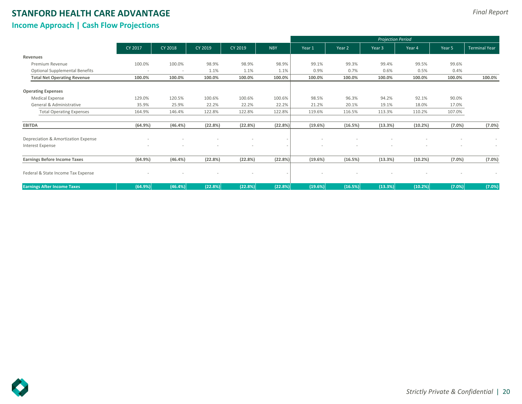## **Income Approach | Cash Flow Projections**

|                                       |         |         |         |         |                          |         |         | <b>Projection Period</b> |         |        |                      |
|---------------------------------------|---------|---------|---------|---------|--------------------------|---------|---------|--------------------------|---------|--------|----------------------|
|                                       | CY 2017 | CY 2018 | CY 2019 | CY 2019 | <b>NBY</b>               | Year 1  | Year 2  | Year 3                   | Year 4  | Year 5 | <b>Terminal Year</b> |
| Revenues                              |         |         |         |         |                          |         |         |                          |         |        |                      |
| Premium Revenue                       | 100.0%  | 100.0%  | 98.9%   | 98.9%   | 98.9%                    | 99.1%   | 99.3%   | 99.4%                    | 99.5%   | 99.6%  |                      |
| <b>Optional Supplemental Benefits</b> |         |         | 1.1%    | 1.1%    | 1.1%                     | 0.9%    | 0.7%    | 0.6%                     | 0.5%    | 0.4%   |                      |
| <b>Total Net Operating Revenue</b>    | 100.0%  | 100.0%  | 100.0%  | 100.0%  | 100.0%                   | 100.0%  | 100.0%  | 100.0%                   | 100.0%  | 100.0% | 100.0%               |
| <b>Operating Expenses</b>             |         |         |         |         |                          |         |         |                          |         |        |                      |
| <b>Medical Expense</b>                | 129.0%  | 120.5%  | 100.6%  | 100.6%  | 100.6%                   | 98.5%   | 96.3%   | 94.2%                    | 92.1%   | 90.0%  |                      |
| General & Administrative              | 35.9%   | 25.9%   | 22.2%   | 22.2%   | 22.2%                    | 21.2%   | 20.1%   | 19.1%                    | 18.0%   | 17.0%  |                      |
| <b>Total Operating Expenses</b>       | 164.9%  | 146.4%  | 122.8%  | 122.8%  | 122.8%                   | 119.6%  | 116.5%  | 113.3%                   | 110.2%  | 107.0% |                      |
| <b>EBITDA</b>                         | (64.9%) | (46.4%) | (22.8%) | (22.8%) | (22.8%)                  | (19.6%) | (16.5%) | (13.3%)                  | (10.2%) | (7.0%  | (7.0%)               |
| Depreciation & Amortization Expense   |         |         |         |         |                          |         |         |                          |         |        |                      |
| Interest Expense                      |         | $\sim$  | $\sim$  |         | $\overline{\phantom{a}}$ |         |         | $\sim$                   |         | $\sim$ | $\sim$               |
| <b>Earnings Before Income Taxes</b>   | (64.9%) | (46.4%) | (22.8%) | (22.8%) | (22.8%)                  | (19.6%) | (16.5%) | (13.3%)                  | (10.2%) | (7.0%) | (7.0%)               |
| Federal & State Income Tax Expense    |         |         |         |         |                          |         |         |                          |         |        |                      |
| <b>Earnings After Income Taxes</b>    | (64.9%) | (46.4%) | (22.8%) | (22.8%) | (22.8%)                  | (19.6%) | (16.5%) | (13.3%)                  | (10.2%) | (7.0%) | (7.0%)               |

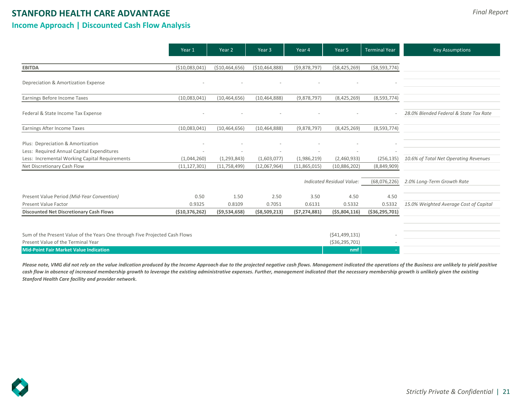## **STANFORD HEALTH CARE ADVANTAGE Income Approach | Discounted Cash Flow Analysis**

|                                                                             | Year 1          | Year 2          | Year 3           | Year 4         | Year 5                           | <b>Terminal Year</b> | <b>Key Assumptions</b>                 |
|-----------------------------------------------------------------------------|-----------------|-----------------|------------------|----------------|----------------------------------|----------------------|----------------------------------------|
|                                                                             |                 |                 |                  |                |                                  |                      |                                        |
| <b>EBITDA</b>                                                               | ( \$10,083,041) | ( \$10,464,656) | ( \$10,464,888)  | (59,878,797)   | ( \$8,425,269)                   | $($ \$8,593,774)     |                                        |
| Depreciation & Amortization Expense                                         |                 |                 |                  |                |                                  |                      |                                        |
| Earnings Before Income Taxes                                                | (10,083,041)    | (10, 464, 656)  | (10, 464, 888)   | (9,878,797)    | (8,425,269)                      | (8,593,774)          |                                        |
| Federal & State Income Tax Expense                                          |                 |                 |                  |                |                                  |                      | 28.0% Blended Federal & State Tax Rate |
| Earnings After Income Taxes                                                 | (10,083,041)    | (10, 464, 656)  | (10, 464, 888)   | (9,878,797)    | (8,425,269)                      | (8,593,774)          |                                        |
| Plus: Depreciation & Amortization                                           |                 |                 |                  |                |                                  |                      |                                        |
| Less: Required Annual Capital Expenditures                                  |                 |                 |                  |                |                                  |                      |                                        |
| Less: Incremental Working Capital Requirements                              | (1,044,260)     | (1, 293, 843)   | (1,603,077)      | (1,986,219)    | (2,460,933)                      | (256, 135)           | 10.6% of Total Net Operating Revenues  |
| Net Discretionary Cash Flow                                                 | (11, 127, 301)  | (11,758,499)    | (12,067,964)     | (11,865,015)   | (10,886,202)                     | (8,849,909)          |                                        |
|                                                                             |                 |                 |                  |                | <b>Indicated Residual Value:</b> | (68,076,226)         | 2.0% Long-Term Growth Rate             |
| Present Value Period (Mid-Year Convention)                                  | 0.50            | 1.50            | 2.50             | 3.50           | 4.50                             | 4.50                 |                                        |
| <b>Present Value Factor</b>                                                 | 0.9325          | 0.8109          | 0.7051           | 0.6131         | 0.5332                           | 0.5332               | 15.0% Weighted Average Cost of Capital |
| <b>Discounted Net Discretionary Cash Flows</b>                              | (510, 376, 262) | (59, 534, 658)  | $($ \$8,509,213) | (57, 274, 881) | (55,804,116)                     | ( \$36, 295, 701)    |                                        |
|                                                                             |                 |                 |                  |                |                                  |                      |                                        |
| Sum of the Present Value of the Years One through Five Projected Cash Flows |                 |                 |                  |                | (541, 499, 131)                  |                      |                                        |
| Present Value of the Terminal Year                                          |                 |                 |                  |                | ( \$36, 295, 701)                |                      |                                        |
| <b>Mid-Point Fair Market Value Indication</b>                               |                 |                 |                  |                | nmf                              |                      |                                        |

Please note, VMG did not rely on the value indication produced by the Income Approach due to the projected negative cash flows. Management indicated the operations of the Business are unlikely to yield positive cash flow in absence of increased membership growth to leverage the existing administrative expenses. Further, management indicated that the necessary membership growth is unlikely given the existing *Stanford Health Care facility and provider network.* 

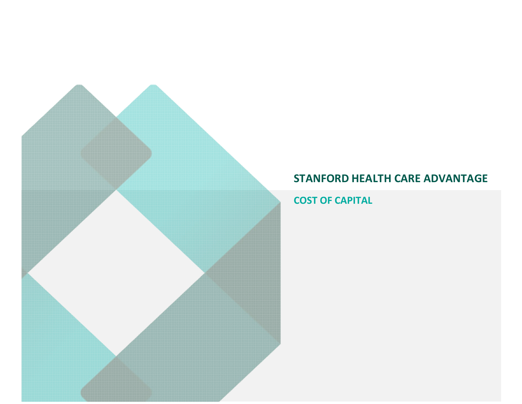**COST OF CAPITAL**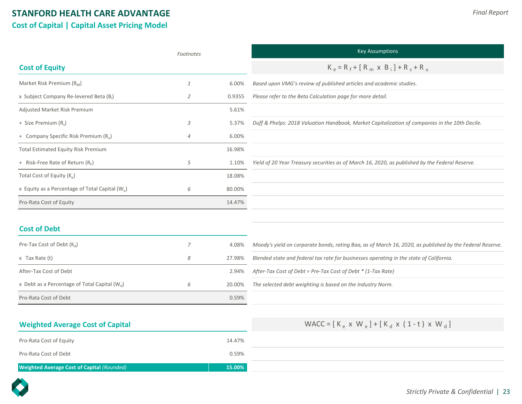## **STANFORD HEALTH CARE ADVANTAGE Cost of Capital | Capital Asset Pricing Model**

|                                                             | Footnotes      |        | <b>Key Assumptions</b>                                                                                   |
|-------------------------------------------------------------|----------------|--------|----------------------------------------------------------------------------------------------------------|
| <b>Cost of Equity</b>                                       |                |        | $K_e = R_f + [R_m \times B_i] + R_s + R_u$                                                               |
| Market Risk Premium $(R_M)$                                 | 1              | 6.00%  | Based upon VMG's review of published articles and academic studies.                                      |
| x Subject Company Re-levered Beta (B <sub>i</sub> )         | 2              | 0.9355 | Please refer to the Beta Calculation page for more detail.                                               |
| Adjusted Market Risk Premium                                |                | 5.61%  |                                                                                                          |
| + Size Premium (R <sub>s</sub> )                            | 3              | 5.37%  | Duff & Phelps: 2018 Valuation Handbook, Market Capitalization of companies in the 10th Decile.           |
| + Company Specific Risk Premium (R <sub>u</sub> )           | $\overline{4}$ | 6.00%  |                                                                                                          |
| <b>Total Estimated Equity Risk Premium</b>                  |                | 16.98% |                                                                                                          |
| + Risk-Free Rate of Return $(R_F)$                          | 5              | 1.10%  | Yield of 20 Year Treasury securities as of March 16, 2020, as published by the Federal Reserve.          |
| Total Cost of Equity (K <sub>e</sub> )                      |                | 18.08% |                                                                                                          |
| x Equity as a Percentage of Total Capital (W <sub>e</sub> ) | 6              | 80.00% |                                                                                                          |
| Pro-Rata Cost of Equity                                     |                | 14.47% |                                                                                                          |
|                                                             |                |        |                                                                                                          |
| <b>Cost of Debt</b>                                         |                |        |                                                                                                          |
| Pre-Tax Cost of Debt $(K_d)$                                | 7              | 4.08%  | Moody's yield on corporate bonds, rating Baa, as of March 16, 2020, as published by the Federal Reserve. |
| $x$ Tax Rate $(t)$                                          | 8              | 27.98% | Blended state and federal tax rate for businesses operating in the state of California.                  |
| After-Tax Cost of Debt                                      |                | 2.94%  | After-Tax Cost of Debt = Pre-Tax Cost of Debt $*(1$ -Tax Rate)                                           |

| Pre-Tax Cost of Debt $(K_d)$                    |   | 4.08%  | Moody's yield on corporate bonds, rating Baa, as of March 16, 2020, as published by the Federal Reserve. |
|-------------------------------------------------|---|--------|----------------------------------------------------------------------------------------------------------|
| x Tax Rate (t)                                  | Ο | 27.98% | Blended state and federal tax rate for businesses operating in the state of California.                  |
| After-Tax Cost of Debt                          |   | 2.94%  | After-Tax Cost of Debt = Pre-Tax Cost of Debt $*(1$ -Tax Rate)                                           |
| x Debt as a Percentage of Total Capital $(W_d)$ |   | 20.00% | The selected debt weighting is based on the Industry Norm.                                               |
| Pro-Rata Cost of Debt                           |   | 0.59%  |                                                                                                          |

## **Weighted Average Cost of Capital** WACC =  $[K_e \times W_e] + [K_d \times (1-t) \times W_d]$

| Pro-Rata Cost of Equity                    | 14.47% |
|--------------------------------------------|--------|
| Pro-Rata Cost of Debt                      | 0.59%  |
| Weighted Average Cost of Capital (Rounded) | 15.00% |

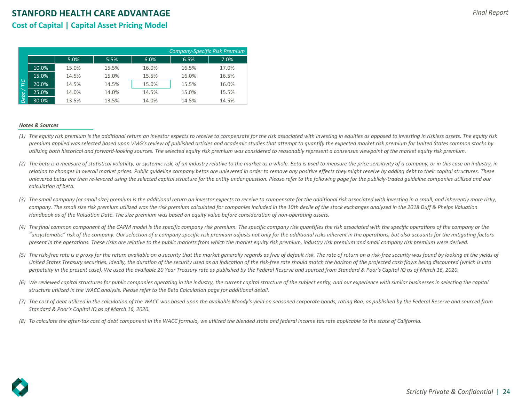## **Cost of Capital | Capital Asset Pricing Model**

|                 |       |       |       |       | <b>Company-Specific Risk Premium</b> |       |
|-----------------|-------|-------|-------|-------|--------------------------------------|-------|
|                 |       | 5.0%  | 5.5%  | 6.0%  | 6.5%                                 | 7.0%  |
|                 | 10.0% | 15.0% | 15.5% | 16.0% | 16.5%                                | 17.0% |
|                 | 15.0% | 14.5% | 15.0% | 15.5% | 16.0%                                | 16.5% |
| $\overline{U}C$ | 20.0% | 14.5% | 14.5% | 15.0% | 15.5%                                | 16.0% |
|                 | 25.0% | 14.0% | 14.0% | 14.5% | 15.0%                                | 15.5% |
| Debt,           | 30.0% | 13.5% | 13.5% | 14.0% | 14.5%                                | 14.5% |

#### *Notes & Sources*

- *(1) The equity risk premium is the additional return an investor expects to receive to compensate for the risk associated with investing in equities as opposed to investing in riskless assets. The equity risk premium applied was selected based upon VMG's review of published articles and academic studies that attempt to quantify the expected market risk premium for United States common stocks by utilizing both historical and forward-looking sources. The selected equity risk premium was considered to reasonably represent a consensus viewpoint of the market equity risk premium.*
- (2) The beta is a measure of statistical volatility, or systemic risk, of an industry relative to the market as a whole. Beta is used to measure the price sensitivity of a company, or in this case an industry, in **(2)**<br>**DECAUSE 10**<br>**(4)**<br>(4)<br>(5)<br>(6)<br>(7)<br>(8) relation to changes in overall market prices. Public quideline company betas are unlevered in order to remove any positive effects they might receive by adding debt to their capital structures. These *unlevered betas are then re-levered using the selected capital structure for the entity under question. Please refer to the following page for the publicly-traded guideline companies utilized and our calculation of beta.*
- *(3) The small company (or small size) premium is the additional return an investor expects to receive to compensate for the additional risk associated with investing in a small, and inherently more risky, company. The small size risk premium utilized was the risk premium calculated for companies included in the 10th decile of the stock exchanges analyzed in the 2018 Duff & Phelps Valuation Handbook as of the Valuation Date. The size premium was based on equity value before consideration of non-operating assets.*
- *(4) The final common component of the CAPM model is the specific company risk premium. The specific company risk quantifies the risk associated with the specific operations of the company or the "unsystematic" risk of the company. Our selection of a company specific risk premium adjusts not only for the additional risks inherent in the operations, but also accounts for the mitigating factors present in the operations. These risks are relative to the public markets from which the market equity risk premium, industry risk premium and small company risk premium were derived.*
- (5) The risk-free rate is a proxy for the return available on a security that the market generally regards as free of default risk. The rate of return on a risk-free security was found by looking at the yields of *United States Treasury securities. Ideally, the duration of the security used as an indication of the risk-free rate should match the horizon of the projected cash flows being discounted (which is into perpetuity in the present case). We used the available 20 Year Treasury rate as published by the Federal Reserve and sourced from Standard & Poor's Capital IQ as of March 16, 2020.*
- *(6) We reviewed capital structures for public companies operating in the industry, the current capital structure of the subject entity, and our experience with similar businesses in selecting the capital structure utilized in the WACC analysis. Please refer to the Beta Calculation page for additional detail.*
- *(7) The cost of debt utilized in the calculation of the WACC was based upon the available Moody's yield on seasoned corporate bonds, rating Baa, as published by the Federal Reserve and sourced from Standard & Poor's Capital IQ as of March 16, 2020.*
- *To calculate the after-tax cost of debt component in the WACC formula, we utilized the blended state and federal income tax rate applicable to the state of California.*

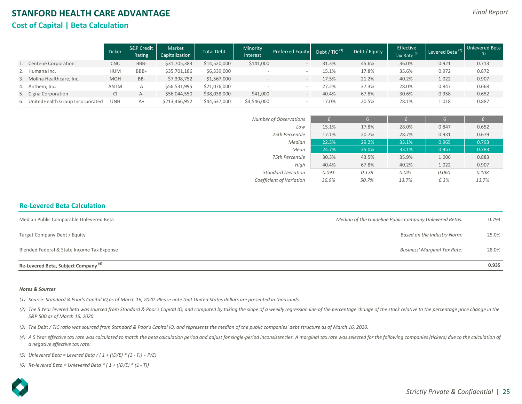## **STANFORD HEALTH CARE ADVANTAGE Cost of Capital | Beta Calculation**

|                                     | <b>Ticker</b> | <b>S&amp;P Credit</b><br>Rating | Market<br>Capitalization | Total Debt   | Minority<br>Interest | <b>Preferred Equity</b>         | Debt / TIC <sup>(3)</sup> | Debt / Equity | Effective<br>Tax Rate <sup>(4)</sup> | Levered Beta <sup>(2)</sup> | <b>Unlevered Beta</b><br>(5) |
|-------------------------------------|---------------|---------------------------------|--------------------------|--------------|----------------------|---------------------------------|---------------------------|---------------|--------------------------------------|-----------------------------|------------------------------|
| 1. Centene Corporation              | <b>CNC</b>    | BBB-                            | \$31,705,383             | \$14,520,000 | \$141,000            | $\hspace{0.1mm}-\hspace{0.1mm}$ | 31.3%                     | 45.6%         | 36.0%                                | 0.921                       | 0.713                        |
| 2. Humana Inc.                      | <b>HUM</b>    | BBB+                            | \$35,701,186             | \$6,339,000  |                      |                                 | 15.1%                     | 17.8%         | 35.6%                                | 0.972                       | 0.872                        |
| 3. Molina Healthcare, Inc.          | <b>MOH</b>    | BB-                             | \$7,398,752              | \$1,567,000  |                      | $\hspace{0.1mm}-\hspace{0.1mm}$ | 17.5%                     | 21.2%         | 40.2%                                | 1.022                       | 0.907                        |
| 4. Anthem, Inc.                     | <b>ANTM</b>   |                                 | \$56,531,995             | \$21,076,000 |                      |                                 | 27.2%                     | 37.3%         | 28.0%                                | 0.847                       | 0.668                        |
| 5. Cigna Corporation                |               | $A-$                            | \$56,044,550             | \$38,038,000 | \$41,000             | $\qquad \qquad -$               | 40.4%                     | 67.8%         | 30.6%                                | 0.958                       | 0.652                        |
| 6. United Health Group Incorporated | <b>UNH</b>    | $A+$                            | \$213,466,952            | \$44,637,000 | \$4,546,000          |                                 | 17.0%                     | 20.5%         | 28.1%                                | 1.018                       | 0.887                        |

| Number of Observations    | 6     | 6     | 6     | 6     | 6     |
|---------------------------|-------|-------|-------|-------|-------|
| Low                       | 15.1% | 17.8% | 28.0% | 0.847 | 0.652 |
| 25th Percentile           | 17.1% | 20.7% | 28.7% | 0.931 | 0.679 |
| Median                    | 22.3% | 29.2% | 33.1% | 0.965 | 0.793 |
| Mean                      | 24.7% | 35.0% | 33.1% | 0.957 | 0.783 |
| 75th Percentile           | 30.3% | 43.5% | 35.9% | 1.006 | 0.883 |
| High                      | 40.4% | 67.8% | 40.2% | 1.022 | 0.907 |
| <b>Standard Deviation</b> | 0.091 | 0.178 | 0.045 | 0.060 | 0.108 |
| Coefficient of Variation  | 36.9% | 50.7% | 13.7% | 6.3%  | 13.7% |
|                           |       |       |       |       |       |

#### **Re-Levered Beta Calculation**

| Median Public Comparable Unlevered Beta         | Median of the Guideline Public Company Unlevered Betas: | 0.793 |
|-------------------------------------------------|---------------------------------------------------------|-------|
| Target Company Debt / Equity                    | Based on the Industry Norm:                             | 25.0% |
| Blended Federal & State Income Tax Expense      | Business' Marginal Tax Rate:                            | 28.0% |
| Re-Levered Beta, Subject Company <sup>(6)</sup> |                                                         | 0.935 |

#### *Notes & Sources*

*(1) Source: Standard & Poor's Capital IQ as of March 16, 2020. Please note that United States dollars are presented in thousands.* 

- (2) The 5 Year levered beta was sourced from Standard & Poor's Capital IQ, and computed by taking the slope of a weekly regression line of the percentage change of the stock relative to the percentage price change in the *S&P 500 as of March 16, 2020.*
- *(3) The Debt / TIC ratio was sourced from Standard & Poor's Capital IQ, and represents the median of the public companies' debt structure as of March 16, 2020.*
- (4) A 5 Year effective tax rate was calculated to match the beta calculation period and adjust for single-period inconsistencies. A marginal tax rate was selected for the following companies (tickers) due to the calculatio *a negative effective tax rate:*
- *(5) Unlevered Beta = Levered Beta / ( 1 + ((D/E) \* (1 T)) + P/E)*

*(6) Re-levered Beta = Unlevered Beta \* ( 1 + ((D/E) \* (1 - T))*

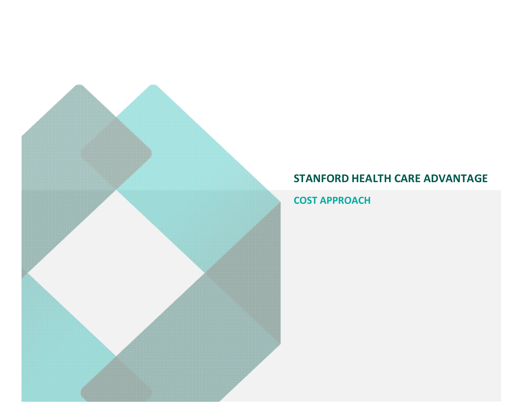**COST APPROACH**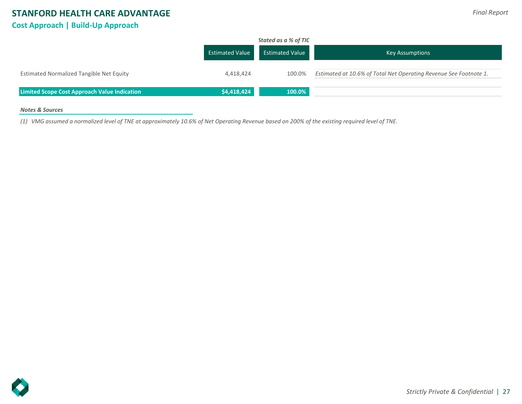## **STANFORD HEALTH CARE ADVANTAGE Cost Approach | Build-Up Approach**

|                                                     | <b>Estimated Value</b> | Stated as a % of TIC<br><b>Estimated Value</b> | <b>Key Assumptions</b>                                            |
|-----------------------------------------------------|------------------------|------------------------------------------------|-------------------------------------------------------------------|
| Estimated Normalized Tangible Net Equity            | 4,418,424              | 100.0%                                         | Estimated at 10.6% of Total Net Operating Revenue See Footnote 1. |
| <b>Limited Scope Cost Approach Value Indication</b> | \$4,418,424            | 100.0%                                         |                                                                   |

## *Notes & Sources*

*(1) VMG assumed a normalized level of TNE at approximately 10.6% of Net Operating Revenue based on 200% of the existing required level of TNE.*

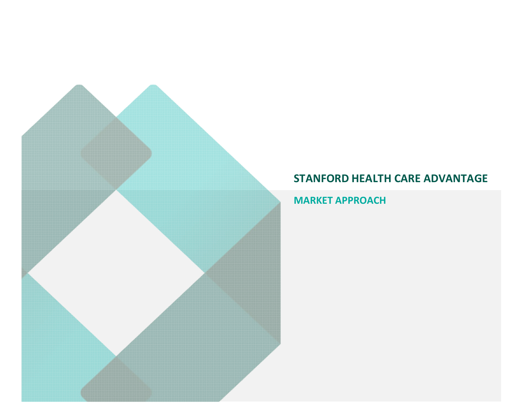**MARKET APPROACH**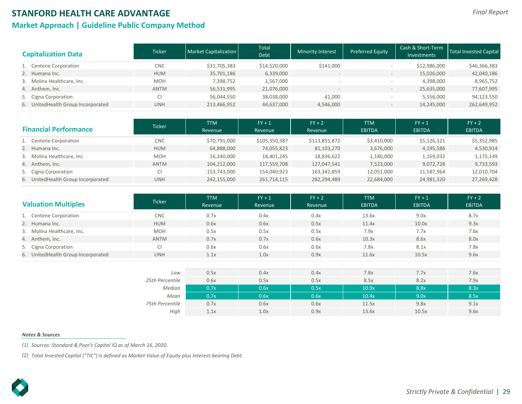## **Market Approach | Guideline Public Company Method**

| <b>Capitalization Data</b>         | <b>Ticker</b> | Market Capitalization | Total<br>Debt | <b>Minority Interest</b> | <b>Preferred Equity</b>      | Cash & Short-Term<br><b>Investments</b> | Total Invested Capital |
|------------------------------------|---------------|-----------------------|---------------|--------------------------|------------------------------|-----------------------------------------|------------------------|
| 1. Centene Corporation             | <b>CNC</b>    | \$31,705,383          | \$14,520,000  | \$141,000                |                              | \$12,986,000                            | \$46,366,383           |
| 2. Humana Inc.                     | <b>HUM</b>    | 35,701,186            | 6,339,000     |                          | $\overline{\phantom{m}}$     | 15,026,000                              | 42,040,186             |
| 3. Molina Healthcare, Inc.         | <b>MOH</b>    | 7,398,752             | 1,567,000     |                          |                              | 4,398,000                               | 8,965,752              |
| 4. Anthem, Inc.                    | <b>ANTM</b>   | 56,531,995            | 21,076,000    |                          | $\qquad \qquad \blacksquare$ | 25,635,000                              | 77,607,995             |
| 5. Cigna Corporation               |               | 56,044,550            | 38,038,000    | 41,000                   |                              | 5,556,000                               | 94,123,550             |
| 6. UnitedHealth Group Incorporated | <b>UNH</b>    | 213,466,952           | 44,637,000    | 4,546,000                | $\overline{\phantom{m}}$     | 14,245,000                              | 262,649,952            |

|                      | <b>Financial Performance</b>       | Ticker      | <b>TTM</b><br>Revenue | $FY + 1$<br>Revenue | $FY + 2$<br>Revenue | <b>TTM</b><br><b>EBITDA</b> | $FY + 1$<br><b>EBITDA</b> | $FY + 2$<br><b>EBITDA</b> |
|----------------------|------------------------------------|-------------|-----------------------|---------------------|---------------------|-----------------------------|---------------------------|---------------------------|
|                      | 1. Centene Corporation             | <b>CNC</b>  | \$70,791,000          | \$105,350,387       | \$113,855,872       | \$3,410,000                 | \$5,126,321               | \$5,352,985               |
| 2. Humana Inc.       |                                    | <b>HUM</b>  | 64,888,000            | 74,055,823          | 81,103,270          | 3,676,000                   | 4,195,586                 | 4,530,914                 |
|                      | 3. Molina Healthcare, Inc.         | <b>MOH</b>  | 16,340,000            | 18,401,245          | 18,836,622          | 1,140,000                   | 1,169,032                 | 1,175,149                 |
| 4. Anthem, Inc.      |                                    | <b>ANTM</b> | 104,212,000           | 117,559,708         | 127,047,541         | 7,523,000                   | 9,072,728                 | 9,733,593                 |
| 5. Cigna Corporation |                                    |             | 153,743,000           | 154,040,923         | 163,342,859         | 12,051,000                  | 11,587,964                | 12,010,704                |
|                      | 6. UnitedHealth Group Incorporated | <b>UNH</b>  | 242,155,000           | 261,714,115         | 282,294,489         | 22,684,000                  | 24,981,320                | 27,269,428                |

| <b>Valuation Multiples</b>         | <b>Ticker</b> | <b>TTM</b><br>Revenue | $FY + 1$<br>Revenue | $FY + 2$<br>Revenue | <b>TTM</b><br><b>EBITDA</b> | $FY + 1$<br><b>EBITDA</b> | $FY + 2$<br><b>EBITDA</b> |
|------------------------------------|---------------|-----------------------|---------------------|---------------------|-----------------------------|---------------------------|---------------------------|
| 1. Centene Corporation             | <b>CNC</b>    | 0.7x                  | 0.4x                | 0.4x                | 13.6x                       | 9.0x                      | 8.7x                      |
| 2. Humana Inc.                     | <b>HUM</b>    | 0.6x                  | 0.6x                | 0.5x                | 11.4x                       | 10.0x                     | 9.3x                      |
| 3. Molina Healthcare, Inc.         | <b>MOH</b>    | 0.5x                  | 0.5x                | 0.5x                | 7.9x                        | 7.7x                      | 7.6x                      |
| 4. Anthem, Inc.                    | <b>ANTM</b>   | 0.7x                  | 0.7x                | 0.6x                | 10.3x                       | 8.6x                      | 8.0x                      |
| 5. Cigna Corporation               |               | 0.6x                  | 0.6x                | 0.6x                | 7.8x                        | 8.1x                      | 7.8x                      |
| 6. UnitedHealth Group Incorporated | <b>UNH</b>    | 1.1x                  | 1.0x                | 0.9x                | 11.6x                       | 10.5x                     | 9.6x                      |

| Low             | 0.5x | 0.4x | 0.4x | 7.8x  | 7.7x  | 7.6x |
|-----------------|------|------|------|-------|-------|------|
| 25th Percentile | 0.6x | 0.5x | 0.5x | 8.5x  | 8.2x  | 7.9x |
| Median          | 0.7x | 0.6x | 0.5x | 10.9x | 8.8x  | 8.3x |
| Mean            | 0.7x | 0.6x | 0.6x | 10.4x | 9.0x  | 8.5x |
| 75th Percentile | 0.7x | 0.6x | 0.6x | 11.5x | 9.8x  | 9.1x |
| High            | 1.1x | 1.0x | 0.9x | 13.6x | 10.5x | 9.6x |

#### *Notes & Sources*

*(1) Sources: Standard & Poor's Capital IQ as of March 16, 2020.*

*(2) Total Invested Capital ("TIC") is defined as Market Value of Equity plus Interest-bearing Debt.*

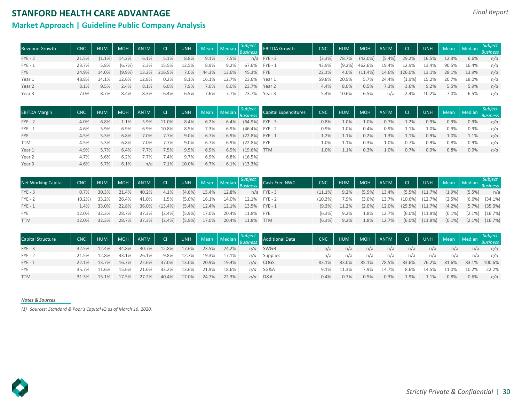## **Market Approach | Guideline Public Company Analysis**

| <b>Revenue Growth</b> | <b>CNC</b> | <b>HUM</b>  | <b>MOH</b>      | ANTM  | $\sim$ Cl $\sim$       |       |       |         |                       | UNH Mean Median Subject EBITDA Growth | <b>CNC</b> | HUM             | MOH ANTM         |       | Cl                            |       |       |       | UNH Mean Median Subject |
|-----------------------|------------|-------------|-----------------|-------|------------------------|-------|-------|---------|-----------------------|---------------------------------------|------------|-----------------|------------------|-------|-------------------------------|-------|-------|-------|-------------------------|
| $FYE - 2$             | 21.5%      |             | $(1.1\%)$ 14.2% | 6.1%  | $5.1\%$                | 8.8%  | 9.1%  | $7.5\%$ |                       | $n/a$ FYE - 2                         |            | $(3.3\%)$ 78.7% | $(42.0\%)$       |       | $(5.4\%)$ 29.2% 16.5%         |       | 12.3% | 6.6%  | n/a                     |
| $FYE - 1$             | 23.7%      | 5.8%        | (6.7%)          | 2.3%  | 15.5%                  | 12.5% | 8.9%  | 9.2%    |                       | 67.6% FYE-1                           | 43.9%      |                 | $(9.2\%)$ 462.6% |       | 19.4% 12.9% 13.4%             |       | 90.5% | 16.4% | n/a                     |
| <b>FYE</b>            |            | 24.9% 14.0% |                 |       | $(9.9\%)$ 13.2% 216.5% | 7.0%  |       |         | 44.3% 13.6% 45.3% FYE |                                       | 22.1%      | 4.0%            |                  |       | $(11.4\%)$ 14.6% 126.0% 13.1% |       | 28.1% | 13.9% | n/a                     |
| Year 1                | 48.8%      | 14.1%       | 12.6%           | 12.8% | 0.2%                   | 8.1%  | 16.1% | 12.7%   | 23.6% Year 1          |                                       | 59.8%      | 20.9%           | 5.7%             | 24.4% | $(1.9\%)$                     | 15.2% | 20.7% | 18.0% | n/a                     |
| Year 2                | 8.1%       | 9.5%        | 2.4%            | 8.1%  | 6.0%                   | 7.9%  | 7.0%  | 8.0%    | 23.7% Year 2          |                                       | 4.4%       | 8.0%            | 0.5%             | 7.3%  | 3.6%                          | 9.2%  | 5.5%  | 5.9%  | n/a                     |
| Year 3                | 7.0%       | 8.7%        | 8.4%            | 8.3%  | 6.4%                   | 6.5%  | 7.6%  | 7.7%    |                       | 23.7% Year 3                          | 5.4%       | 10.6%           | 6.5%             | n/a   | 2.4%                          | 10.2% | 7.0%  | 6.5%  | n/a                     |

| <b>EBITDA Margin</b> | <b>CNC</b> | <b>HUM</b> |      | MOH ANTM CI |       |         |      |         |                            | UNH Mean Median <i>Subject</i> Capital Expenditures | CNC     | <b>HUM</b> |      | MOH ANTM | $\blacksquare$ CI $\blacksquare$ |      |      |      | UNH Mean Median <i>Subject</i> |
|----------------------|------------|------------|------|-------------|-------|---------|------|---------|----------------------------|-----------------------------------------------------|---------|------------|------|----------|----------------------------------|------|------|------|--------------------------------|
| $FYE - 2$            | 4.0%       | 6.8%       | 1.1% | 5.9%        | 11.0% | 8.4%    | 6.2% |         | $6.4\%$ $(64.9\%)$ FYE - 3 |                                                     | 0.8%    | 1.0%       | 1.0% | 0.7%     | 1.2%                             | 0.9% | 0.9% | 0.9% | n/a                            |
| $FYE - 1$            | 4.6%       | 5.9%       | 6.9% | 6.9%        | 10.8% | 8.5%    | 7.3% | $6.9\%$ | (46.4%) FYE-2              |                                                     | $0.9\%$ | 1.0%       | 0.4% | 0.9%     | 1.1%                             | 1.0% | 0.9% | 0.9% | n/a                            |
| <b>FYE</b>           | 4.5%       | 5.3%       | 6.8% | 7.0%        | 7.7%  | $9.0\%$ | 6.7% |         | 6.9% (22.8%) FYE-1         |                                                     | 1.2%    | 1.1%       | 0.2% | 1.3%     | 1.1%                             | 0.9% | 1.0% | 1.1% | n/a                            |
| <b>TTM</b>           | 4.5%       | 5.3%       | 6.8% | 7.0%        | 7.7%  | 9.0%    | 6.7% |         | 6.9% (22.8%) FYE           |                                                     | 1.0%    | 1.1%       | 0.3% | 1.0%     | 0.7%                             | 0.9% | 0.8% | 0.9% | n/a                            |
| Year 1               | 4.9%       | 5.7%       | 6.4% | 7.7%        | 7.5%  | 9.5%    | 6.9% |         | 6.9% (19.6%) TTM           |                                                     | 1.0%    | 1.1%       | 0.3% | 1.0%     | 0.7%                             | 0.9% | 0.8% | 0.9% | n/a                            |
| Year 2               | 4.7%       | 5.6%       | 6.2% | 7.7%        | 7.4%  | 9.7%    | 6.9% | 6.8%    | (16.5%)                    |                                                     |         |            |      |          |                                  |      |      |      |                                |
| Year 3               | 4.6%       | 5.7%       | 6.1% | n/a         | 7.1%  | 10.0%   | 6.7% |         | $6.1\%$ $(13.3\%)$         |                                                     |         |            |      |          |                                  |      |      |      |                                |

| <b>Net Working Capital</b> | <b>CNC</b> | HUM        |       | MOH ANTM | $\overline{\phantom{a}}$ cr $\overline{\phantom{a}}$ |           |                 |       |                       | UNH Mean Median Subject Cash-Free NWC | <b>CNC</b> | <b>HUM</b>      |           |          | MOH ANTM CI           |                       |           | UNH Mean Median <i>Subject</i> |                      |
|----------------------------|------------|------------|-------|----------|------------------------------------------------------|-----------|-----------------|-------|-----------------------|---------------------------------------|------------|-----------------|-----------|----------|-----------------------|-----------------------|-----------|--------------------------------|----------------------|
| $FYE - 3$                  | 0.7%       | 30.3%      | 21.4% | 40.2%    | 4.1%                                                 | $(4.6\%)$ | 15.4%           | 12.8% |                       | $n/a$ FYE - 3                         | $(11.1\%)$ | $9.2\%$         | $(5.5\%)$ | $13.4\%$ |                       | $(5.5\%)$ $(11.7\%)$  | $(1.9\%)$ | $(5.5\%)$                      | n/a                  |
| $FYE - 2$                  | $(0.2\%)$  | 33.2%      | 26.4% | 41.0%    | 1.5%                                                 | $(5.0\%)$ | 16.1%           | 14.0% |                       | 12.1% FYE-2                           | $(10.3\%)$ | 7.9%            | $(3.0\%)$ | 13.7%    |                       | $(10.6\%)$ $(12.7\%)$ | (2.5%)    |                                | $(6.6\%)$ $(34.1\%)$ |
| $FYE - 1$                  |            | 1.4% 33.0% | 22.8% |          | 36.0% (13.4%)                                        |           | $(5.4\%)$ 12.4% |       | 12.1% 13.5% FYE-1     |                                       |            | $(9.3\%)$ 11.2% | $(2.0\%)$ |          | 12.0% (25.5%) (11.7%) |                       | $(4.2\%)$ |                                | $(5.7\%)$ $(35.0\%)$ |
| <b>FYE</b>                 | 12.0%      | 32.3%      | 28.7% | 37.3%    | $(2.4\%)$                                            | $(5.9\%)$ | 17.0%           | 20.4% | 11.8% FYE             |                                       | (6.3%)     | 9.2%            | 1.8%      | 12.7%    |                       | $(6.0\%)$ $(11.8\%)$  | $(0.1\%)$ |                                | $(2.1\%)$ $(16.7\%)$ |
| <b>TTM</b>                 | 12.0%      | 32.3%      | 28.7% | 37.3%    | $(2.4\%)$                                            | $(5.9\%)$ |                 |       | 17.0% 20.4% 11.8% TTM |                                       | (6.3%)     | $9.2\%$         | 1.8%      | 12.7%    |                       | $(6.0\%)$ $(11.8\%)$  | $(0.1\%)$ |                                | $(2.1\%)$ $(16.7\%)$ |

| <b>Capital Structure</b> | <b>CNC</b> | <b>HUM</b> | <b>MOH</b> | <b>ANTM</b> | CI    | <b>UNH</b> | Mean  | Median | Subject |            | <b>CNC</b> | <b>HUM</b> | <b>MOH</b> | ANTM    | CI    | UNH   |       | Mean Median |        |
|--------------------------|------------|------------|------------|-------------|-------|------------|-------|--------|---------|------------|------------|------------|------------|---------|-------|-------|-------|-------------|--------|
| $FYE - 3$                | 32.5%      | 12.4%      | 34.8%      | 30.7%       | 12.8% | 17.6%      | 23.5% | 24.2%  | n/a     | SW&B       |            | n/a        | n/a        | n/a     | n/a   | n/a   | n/a   | n/a         | n/a    |
| $FYE - 2$                | 21.5%      | 12.8%      | 33.1%      | 26.1%       | 9.8%  | 12.7%      | 19.3% | 17.1%  | n/a     | Supplies   | n/a        | n/a        | n/a        | n/a     | n/a   | n/a   | n/a   | n/a         | n/a    |
| $FYE - 1$                | 22.1%      | 13.7%      | 16.7%      | 22.6%       | 37.0% | 13.0%      | 20.9% | 19.4%  |         | $n/a$ COGS | 83.1%      | 83.0%      | 85.1%      | 78.5%   | 83.6% | 76.2% | 81.6% | 83.1%       | 100.6% |
| <b>FYE</b>               | 35.7%      |            | 15.6%      | 21.6%       | 33.2% | 13.6%      | 21.9% | 18.6%  | n/a     | SG&A       |            | 11.3%      | 7.9%       | 14.7%   | 8.6%  | 14.5% | 11.0% | 10.2%       | 22.2%  |
| <b>TTM</b>               | 31.3%      | 15.1%      | 17.5%      | 27.2%       | 40.4% | 17.0%      | 24.7% | 22.3%  | n/a     | D&A        | 0.4%       | 0.7%       | 0.5%       | $0.3\%$ | 1.9%  | 1.1%  | 0.8%  | 0.6%        | n/a    |

#### *Notes & Sources*

*(1) Sources: Standard & Poor's Capital IQ as of March 16, 2020.*

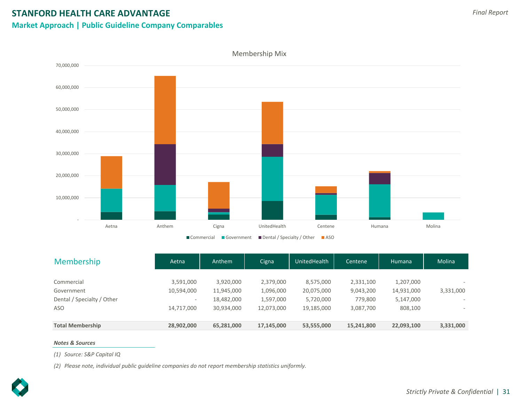## **Market Approach | Public Guideline Company Comparables**



| Membership                               | Aetna                                  | Anthem                   | Cigna                  | UnitedHealth            | Centene              | Humana                  | Molina                   |
|------------------------------------------|----------------------------------------|--------------------------|------------------------|-------------------------|----------------------|-------------------------|--------------------------|
| Commercial                               | 3,591,000                              | 3,920,000                | 2,379,000              | 8,575,000               | 2,331,100            | 1,207,000               |                          |
| Government<br>Dental / Specialty / Other | 10,594,000<br>$\overline{\phantom{0}}$ | 11,945,000<br>18,482,000 | 1,096,000<br>1,597,000 | 20,075,000<br>5,720,000 | 9,043,200<br>779,800 | 14,931,000<br>5,147,000 | 3,331,000                |
| ASO                                      | 14,717,000                             | 30,934,000               | 12,073,000             | 19,185,000              | 3,087,700            | 808,100                 | $\overline{\phantom{a}}$ |
| <b>Total Membership</b>                  | 28,902,000                             | 65,281,000               | 17,145,000             | 53,555,000              | 15,241,800           | 22,093,100              | 3,331,000                |

#### *Notes & Sources*

*(1) Source: S&P Capital IQ*

*(2) Please note, individual public guideline companies do not report membership statistics uniformly.*

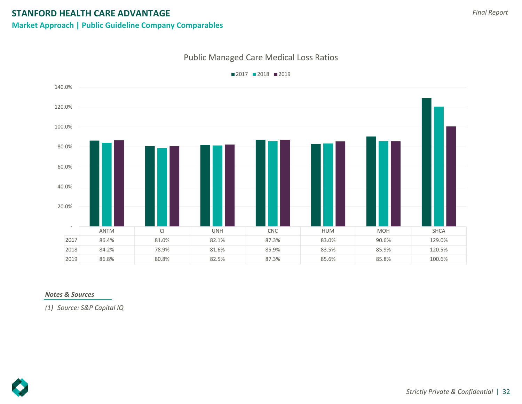## **Market Approach | Public Guideline Company Comparables**

## Public Managed Care Medical Loss Ratios



 $2017$  2018 2019

## *Notes & Sources*

*(1) Source: S&P Capital IQ*



*Final Report*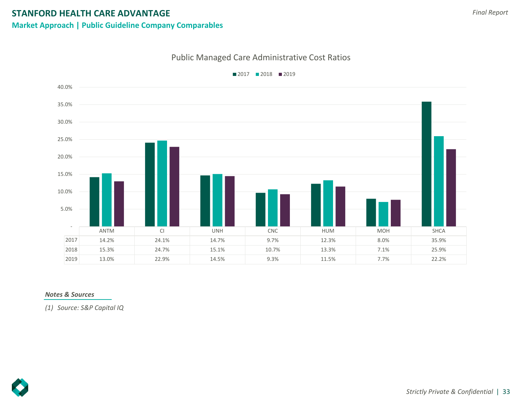## **Market Approach | Public Guideline Company Comparables**

## Public Managed Care Administrative Cost Ratios



■2017 ■2018 ■2019

## *Notes & Sources*

*(1) Source: S&P Capital IQ*

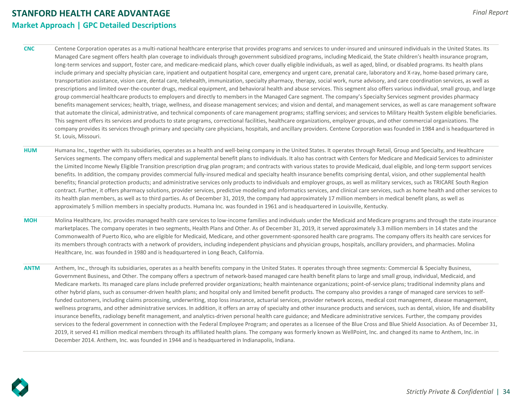## **STANFORD HEALTH CARE ADVANTAGE Market Approach | GPC Detailed Descriptions**

**CNC** Centene Corporation operates as a multi-national healthcare enterprise that provides programs and services to under-insured and uninsured individuals in the United States. Its Managed Care segment offers health plan coverage to individuals through government subsidized programs, including Medicaid, the State children's health insurance program, long-term services and support, foster care, and medicare-medicaid plans, which cover dually eligible individuals, as well as aged, blind, or disabled programs. Its health plans include primary and specialty physician care, inpatient and outpatient hospital care, emergency and urgent care, prenatal care, laboratory and X-ray, home-based primary care, transportation assistance, vision care, dental care, telehealth, immunization, specialty pharmacy, therapy, social work, nurse advisory, and care coordination services, as well as prescriptions and limited over-the-counter drugs, medical equipment, and behavioral health and abuse services. This segment also offers various individual, small group, and large group commercial healthcare products to employers and directly to members in the Managed Care segment. The company's Specialty Services segment provides pharmacy benefits management services; health, triage, wellness, and disease management services; and vision and dental, and management services, as well as care management software that automate the clinical, administrative, and technical components of care management programs; staffing services; and services to Military Health System eligible beneficiaries. This segment offers its services and products to state programs, correctional facilities, healthcare organizations, employer groups, and other commercial organizations. The company provides its services through primary and specialty care physicians, hospitals, and ancillary providers. Centene Corporation was founded in 1984 and is headquartered in St. Louis, Missouri.

- **HUM** Humana Inc., together with its subsidiaries, operates as a health and well-being company in the United States. It operates through Retail, Group and Specialty, and Healthcare Services segments. The company offers medical and supplemental benefit plans to individuals. It also has contract with Centers for Medicare and Medicaid Services to administer the Limited Income Newly Eligible Transition prescription drug plan program; and contracts with various states to provide Medicaid, dual eligible, and long-term support services benefits. In addition, the company provides commercial fully-insured medical and specialty health insurance benefits comprising dental, vision, and other supplemental health benefits; financial protection products; and administrative services only products to individuals and employer groups, as well as military services, such as TRICARE South Region contract. Further, it offers pharmacy solutions, provider services, predictive modeling and informatics services, and clinical care services, such as home health and other services to its health plan members, as well as to third parties. As of December 31, 2019, the company had approximately 17 million members in medical benefit plans, as well as approximately 5 million members in specialty products. Humana Inc. was founded in 1961 and is headquartered in Louisville, Kentucky.
- **MOH** Molina Healthcare, Inc. provides managed health care services to low-income families and individuals under the Medicaid and Medicare programs and through the state insurance marketplaces. The company operates in two segments, Health Plans and Other. As of December 31, 2019, it served approximately 3.3 million members in 14 states and the Commonwealth of Puerto Rico, who are eligible for Medicaid, Medicare, and other government-sponsored health care programs. The company offers its health care services for its members through contracts with a network of providers, including independent physicians and physician groups, hospitals, ancillary providers, and pharmacies. Molina Healthcare, Inc. was founded in 1980 and is headquartered in Long Beach, California.

**ANTM** Anthem, Inc., through its subsidiaries, operates as a health benefits company in the United States. It operates through three segments: Commercial & Specialty Business, Government Business, and Other. The company offers a spectrum of network-based managed care health benefit plans to large and small group, individual, Medicaid, and Medicare markets. Its managed care plans include preferred provider organizations; health maintenance organizations; point-of-service plans; traditional indemnity plans and other hybrid plans, such as consumer-driven health plans; and hospital only and limited benefit products. The company also provides a range of managed care services to selffunded customers, including claims processing, underwriting, stop loss insurance, actuarial services, provider network access, medical cost management, disease management, wellness programs, and other administrative services. In addition, it offers an array of specialty and other insurance products and services, such as dental, vision, life and disability insurance benefits, radiology benefit management, and analytics-driven personal health care guidance; and Medicare administrative services. Further, the company provides services to the federal government in connection with the Federal Employee Program; and operates as a licensee of the Blue Cross and Blue Shield Association. As of December 31, 2019, it served 41 million medical members through its affiliated health plans. The company was formerly known as WellPoint, Inc. and changed its name to Anthem, Inc. in December 2014. Anthem, Inc. was founded in 1944 and is headquartered in Indianapolis, Indiana.

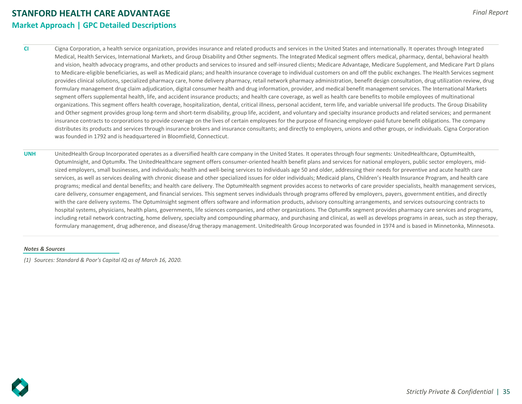## **STANFORD HEALTH CARE ADVANTAGE Market Approach | GPC Detailed Descriptions**

**CI** Cigna Corporation, a health service organization, provides insurance and related products and services in the United States and internationally. It operates through Integrated Medical, Health Services, International Markets, and Group Disability and Other segments. The Integrated Medical segment offers medical, pharmacy, dental, behavioral health and vision, health advocacy programs, and other products and services to insured and self-insured clients; Medicare Advantage, Medicare Supplement, and Medicare Part D plans to Medicare-eligible beneficiaries, as well as Medicaid plans; and health insurance coverage to individual customers on and off the public exchanges. The Health Services segment provides clinical solutions, specialized pharmacy care, home delivery pharmacy, retail network pharmacy administration, benefit design consultation, drug utilization review, drug formulary management drug claim adjudication, digital consumer health and drug information, provider, and medical benefit management services. The International Markets segment offers supplemental health, life, and accident insurance products; and health care coverage, as well as health care benefits to mobile employees of multinational organizations. This segment offers health coverage, hospitalization, dental, critical illness, personal accident, term life, and variable universal life products. The Group Disability and Other segment provides group long-term and short-term disability, group life, accident, and voluntary and specialty insurance products and related services; and permanent insurance contracts to corporations to provide coverage on the lives of certain employees for the purpose of financing employer-paid future benefit obligations. The company distributes its products and services through insurance brokers and insurance consultants; and directly to employers, unions and other groups, or individuals. Cigna Corporation was founded in 1792 and is headquartered in Bloomfield, Connecticut.

**UNH** UnitedHealth Group Incorporated operates as a diversified health care company in the United States. It operates through four segments: UnitedHealthcare, OptumHealth, OptumInsight, and OptumRx. The UnitedHealthcare segment offers consumer-oriented health benefit plans and services for national employers, public sector employers, midsized employers, small businesses, and individuals; health and well-being services to individuals age 50 and older, addressing their needs for preventive and acute health care services, as well as services dealing with chronic disease and other specialized issues for older individuals; Medicaid plans, Children's Health Insurance Program, and health care programs; medical and dental benefits; and health care delivery. The OptumHealth segment provides access to networks of care provider specialists, health management services, care delivery, consumer engagement, and financial services. This segment serves individuals through programs offered by employers, payers, government entities, and directly with the care delivery systems. The OptumInsight segment offers software and information products, advisory consulting arrangements, and services outsourcing contracts to hospital systems, physicians, health plans, governments, life sciences companies, and other organizations. The OptumRx segment provides pharmacy care services and programs, including retail network contracting, home delivery, specialty and compounding pharmacy, and purchasing and clinical, as well as develops programs in areas, such as step therapy, formulary management, drug adherence, and disease/drug therapy management. UnitedHealth Group Incorporated was founded in 1974 and is based in Minnetonka, Minnesota.

#### *Notes & Sources*

*(1) Sources: Standard & Poor's Capital IQ as of March 16, 2020.*

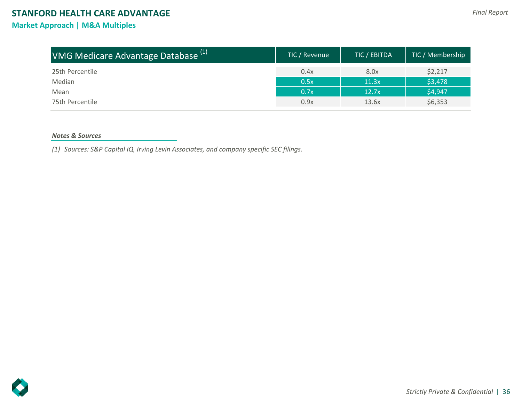## **Market Approach | M&A Multiples**

| VMG Medicare Advantage Database <sup>(1)</sup> | TIC / Revenue | TIC / EBITDA | TIC / Membership |
|------------------------------------------------|---------------|--------------|------------------|
| 25th Percentile                                | 0.4x          | 8.0x         | \$2,217          |
| Median                                         | 0.5x          | 11.3x        | \$3,478          |
| Mean                                           | 0.7x          | 12.7x        | \$4,947          |
| 75th Percentile                                | 0.9x          | 13.6x        | \$6,353          |

## *Notes & Sources*

*(1) Sources: S&P Capital IQ, Irving Levin Associates, and company specific SEC filings.*

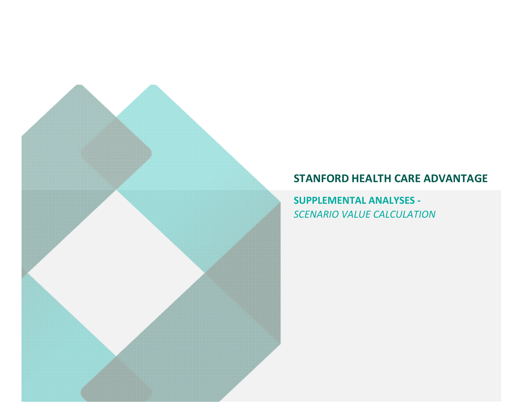**SUPPLEMENTAL ANALYSES -**  *SCENARIO VALUE CALCULATION*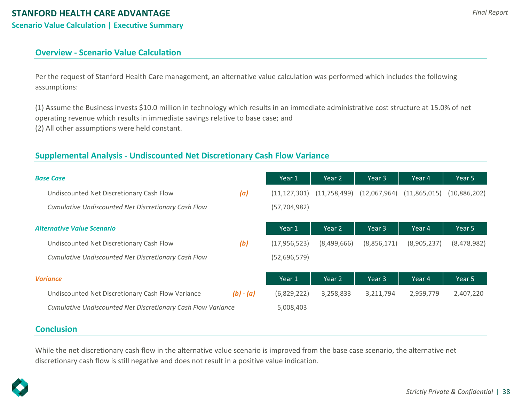## **Overview - Scenario Value Calculation**

Per the request of Stanford Health Care management, an alternative value calculation was performed which includes the following assumptions:

(1) Assume the Business invests \$10.0 million in technology which results in an immediate administrative cost structure at 15.0% of net operating revenue which results in immediate savings relative to base case; and (2) All other assumptions were held constant.

## **Supplemental Analysis - Undiscounted Net Discretionary Cash Flow Variance**

| <b>Base Case</b>                                             |             | Year 1         | Year 2         | Year 3       | Year 4       | Year 5       |
|--------------------------------------------------------------|-------------|----------------|----------------|--------------|--------------|--------------|
| Undiscounted Net Discretionary Cash Flow                     | (a)         | (11, 127, 301) | (11, 758, 499) | (12,067,964) | (11,865,015) | (10,886,202) |
| Cumulative Undiscounted Net Discretionary Cash Flow          |             | (57, 704, 982) |                |              |              |              |
| <b>Alternative Value Scenario</b>                            |             | Year 1         | Year 2         | Year 3       | Year 4       | Year 5       |
| Undiscounted Net Discretionary Cash Flow                     | (b)         | (17, 956, 523) | (8,499,666)    | (8,856,171)  | (8,905,237)  | (8,478,982)  |
| Cumulative Undiscounted Net Discretionary Cash Flow          |             | (52,696,579)   |                |              |              |              |
| <b>Variance</b>                                              |             | Year 1         | Year 2         | Year 3       | Year 4       | Year 5       |
| Undiscounted Net Discretionary Cash Flow Variance            | $(b) - (a)$ | (6,829,222)    | 3,258,833      | 3,211,794    | 2,959,779    | 2,407,220    |
| Cumulative Undiscounted Net Discretionary Cash Flow Variance |             | 5,008,403      |                |              |              |              |

## **Conclusion**

While the net discretionary cash flow in the alternative value scenario is improved from the base case scenario, the alternative net discretionary cash flow is still negative and does not result in a positive value indication.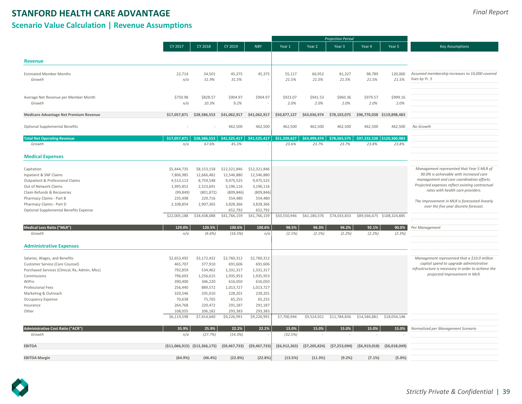## **Scenario Value Calculation | Revenue Assumptions**

|                                                                                   |                    |                                 |                      |                      |                |                | <b>Projection Period</b> |                |                            |                                                     |
|-----------------------------------------------------------------------------------|--------------------|---------------------------------|----------------------|----------------------|----------------|----------------|--------------------------|----------------|----------------------------|-----------------------------------------------------|
|                                                                                   | CY 2017            | CY 2018                         | CY 2019              | <b>NBY</b>           | Year 1         | Year 2         | Year 3                   | Year 4         | Year 5                     | <b>Key Assumptions</b>                              |
| <b>Revenue</b>                                                                    |                    |                                 |                      |                      |                |                |                          |                |                            |                                                     |
|                                                                                   |                    |                                 |                      |                      |                |                |                          |                |                            |                                                     |
| <b>Estimated Member Months</b>                                                    | 22,714             | 34.501                          | 45,375               | 45,375               | 55,117         | 66,952         | 81,327                   | 98,789         | 120,000                    | Assumed membership increases to 10,000 covered      |
| Growth                                                                            | n/a                | 51.9%                           | 31.5%                |                      | 21.5%          | 21.5%          | 21.5%                    | 21.5%          | 21.5%                      | lives by Yr. 5                                      |
| Average Net Revenue per Member Month                                              | \$750.98           | \$828.57                        | \$904.97             | \$904.97             | \$923.07       | \$941.53       | \$960.36                 | \$979.57       | \$999.16                   |                                                     |
| Growth                                                                            | n/a                | 10.3%                           | 9.2%                 |                      | 2.0%           | 2.0%           | 2.0%                     | 2.0%           | 2.0%                       |                                                     |
| Medicare Advantage Net Premium Revenue                                            | \$17,057,871       | \$28,586,553                    | \$41,062,917         | \$41,062,917         | \$50,877,127   | \$63,036,974   | \$78,103,075             |                | \$96,770,038 \$119,898,483 |                                                     |
| Optional Supplemental Benefits                                                    |                    |                                 | 462,500              | 462,500              | 462,500        | 462,500        | 462,500                  | 462,500        | 462,500                    | No Growth                                           |
| <b>Total Net Operating Revenue</b>                                                | \$17,057,871       | \$28,586,553                    | \$41,525,417         | \$41,525,417         | \$51,339,627   | \$63,499,474   | \$78,565,575             |                | \$97,232,538 \$120,360,983 |                                                     |
| Growth                                                                            | n/a                | 67.6%                           | 45.3%                |                      | 23.6%          | 23.7%          | 23.7%                    | 23.8%          | 23.8%                      |                                                     |
| <b>Medical Expenses</b>                                                           |                    |                                 |                      |                      |                |                |                          |                |                            |                                                     |
| Capitation                                                                        | \$5,444,735        | \$8,153,158                     | \$12,321,846         | \$12,321,846         |                |                |                          |                |                            | Management represented that Year 5 MLR of           |
| Inpatient & SNF Claims                                                            | 7,806,985          | 12,666,482                      | 12,546,880           | 12,546,880           |                |                |                          |                |                            | 90.0% is achievable with increased care             |
| Outpatient & Professional Claims                                                  | 4,513,113          | 8,759,548                       | 9,475,525            | 9,475,525            |                |                |                          |                |                            | management and care coordination efforts.           |
| Out of Network Claims                                                             | 1,995,852          | 2,523,691                       | 3,196,116            | 3,196,116            |                |                |                          |                |                            | Projected expenses reflect existing contractual     |
| Claim Refunds & Recoveries                                                        | (99, 849)          | (801, 872)                      | (809, 846)           | (809, 846)           |                |                |                          |                |                            | rates with health care providers.                   |
| Pharmacy Claims - Part B                                                          | 235,498            | 229,716                         | 554,480              | 554,480              |                |                |                          |                |                            |                                                     |
| Pharmacy Claims - Part D                                                          | 2,108,854          | 2,907,365                       | 3,828,366            | 3,828,366            |                |                |                          |                |                            | The improvement in MLR is forecasted linearly       |
| Optional Supplemental Benefits Expense                                            |                    |                                 | 652,792              | 652,792              |                |                |                          |                |                            | over the five year discrete forecast.               |
|                                                                                   | \$22,005,188       | \$34,438,088                    | \$41,766,159         | \$41,766,159         | \$50,550,946   | \$61,180,376   | \$74,033,833             |                | \$89,566,675 \$108,324,885 |                                                     |
| <b>Medical Loss Ratio ("MLR")</b>                                                 | 129.0%             | 120.5%                          | 100.6%               | 100.6%               | 98.5%          | 96.3%          | 94.2%                    | 92.1%          | 90.0%                      | Per Management                                      |
| Growth                                                                            | n/a                | (6.6%)                          | (16.5%)              | n/a                  | $(2.1\%)$      | $(2.1\%)$      | (2.2%)                   | (2.2%)         | (2.3%)                     |                                                     |
| <b>Administrative Expenses</b>                                                    |                    |                                 |                      |                      |                |                |                          |                |                            |                                                     |
|                                                                                   |                    |                                 | \$2,760,312          | \$2,760,312          |                |                |                          |                |                            | Management represented that a \$10.0 million        |
| Salaries, Wages, and Benefits                                                     | \$2,653,492        | \$3,172,432                     |                      |                      |                |                |                          |                |                            | capital spend to upgrade administrative             |
| Customer Service (Care Counsel)<br>Purchased Services (Clinical, Rx, Admin, Misc) | 465,707<br>792,859 | 377,910<br>534,462              | 691,606<br>1,331,317 | 691,606<br>1,331,317 |                |                |                          |                |                            | infrustructure is necessary in order to achieve the |
|                                                                                   | 796,693            | 1,256,615                       | 1,935,953            | 1,935,953            |                |                |                          |                |                            | projected improvement in MLR.                       |
| Commissions<br>WiPro                                                              | 390,400            | 346,220                         | 616,050              |                      |                |                |                          |                |                            |                                                     |
|                                                                                   | 256,440            | 889,572                         | 1,013,727            | 616,050<br>1,013,727 |                |                |                          |                |                            |                                                     |
| Professional Fees<br>Marketing & Outreach                                         | 320,546            | 335,010                         | 228,201              | 228,201              |                |                |                          |                |                            |                                                     |
|                                                                                   | 70,638             | 75,765                          | 65,255               | 65,255               |                |                |                          |                |                            |                                                     |
| Occupancy Expense<br>Insurance                                                    | 264,768            | 220,472                         | 291,187              | 291,187              |                |                |                          |                |                            |                                                     |
| Other                                                                             | 108,055            | 206,182                         | 293,383              | 293,383              |                |                |                          |                |                            |                                                     |
|                                                                                   | \$6,119,598        | \$7,414,640                     | \$9,226,991          | \$9,226,991          | \$7,700,944    | \$9,524,921    | \$11,784,836             | \$14,584,881   | \$18,054,148               |                                                     |
| Administrative Cost Ratio ("ACR")                                                 | 35.9%              | 25.9%                           | 22.2%                | 22.2%                | 15.0%          | 15.0%          | 15.0%                    | 15.0%          | 15.0%                      | Normalized per Management Scenario                  |
| Growth                                                                            | n/a                | (27.7%)                         | (14.3%)              |                      | (32.5%)        |                |                          |                |                            |                                                     |
| <b>EBITDA</b>                                                                     |                    | $(511,066,915)$ $(513,266,175)$ | (59, 467, 733)       | ( \$9,467,733)       | (56, 912, 263) | (57, 205, 824) | (57, 253, 094)           | ( \$6,919,018) | ( \$6,018,049)             |                                                     |
| <b>EBITDA Margin</b>                                                              | (64.9%)            | (46.4%                          | (22.8%)              | (22.8%)              | (13.5%)        | (11.3%)        | (9.2%)                   | (7.1%)         | (5.0%                      |                                                     |

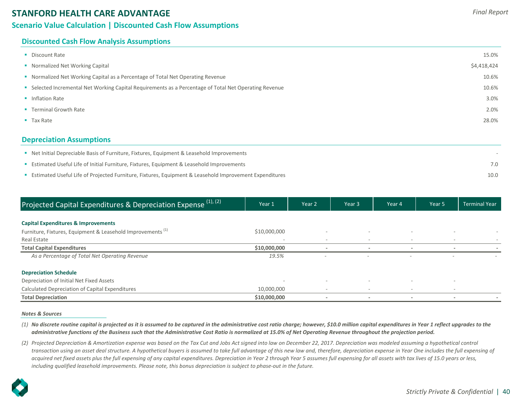## **Scenario Value Calculation | Discounted Cash Flow Assumptions**

## **Discounted Cash Flow Analysis Assumptions**

| • Discount Rate                                                                                        | 15.0%       |
|--------------------------------------------------------------------------------------------------------|-------------|
| • Normalized Net Working Capital                                                                       | \$4,418,424 |
| • Normalized Net Working Capital as a Percentage of Total Net Operating Revenue                        | 10.6%       |
| • Selected Incremental Net Working Capital Requirements as a Percentage of Total Net Operating Revenue | 10.6%       |
| • Inflation Rate                                                                                       | 3.0%        |
| • Terminal Growth Rate                                                                                 | 2.0%        |
| $\blacksquare$ Tax Rate                                                                                | 28.0%       |
| <b>Depreciation Assumptions</b>                                                                        |             |

| Net Initial Depreciable Basis of Furniture, Fixtures, Equipment & Leasehold Improvements                                |      |
|-------------------------------------------------------------------------------------------------------------------------|------|
| <b>Example 15 Estimated Useful Life of Initial Furniture, Fixtures, Equipment &amp; Leasehold Improvements</b>          | 7.0  |
| <b>Example 2</b> Estimated Useful Life of Projected Furniture, Fixtures, Equipment & Leasehold Improvement Expenditures | 10.0 |

| Projected Capital Expenditures & Depreciation Expense (1), (2)         | Year 1       | Year 2                   | Year 3                   | Year 4                   | Year 5                   | <b>Terminal Year</b> |
|------------------------------------------------------------------------|--------------|--------------------------|--------------------------|--------------------------|--------------------------|----------------------|
| <b>Capital Expenditures &amp; Improvements</b>                         |              |                          |                          |                          |                          |                      |
| Furniture, Fixtures, Equipment & Leasehold Improvements <sup>(1)</sup> | \$10,000,000 | $\overline{\phantom{a}}$ |                          |                          |                          |                      |
| Real Estate                                                            |              | $\overline{\phantom{a}}$ |                          |                          |                          |                      |
| <b>Total Capital Expenditures</b>                                      | \$10,000,000 |                          |                          |                          |                          |                      |
| As a Percentage of Total Net Operating Revenue                         | 19.5%        | $\sim$                   | $\equiv$                 | $\overline{\phantom{a}}$ | $\overline{\phantom{a}}$ |                      |
| <b>Depreciation Schedule</b>                                           |              |                          |                          |                          |                          |                      |
| Depreciation of Initial Net Fixed Assets                               | $\sim$       | $\equiv$                 |                          |                          |                          |                      |
| Calculated Depreciation of Capital Expenditures                        | 10,000,000   | $\overline{\phantom{a}}$ | $\overline{\phantom{a}}$ | $\overline{\phantom{a}}$ | $\overline{\phantom{a}}$ |                      |
| <b>Total Depreciation</b>                                              | \$10,000,000 |                          | $\overline{\phantom{a}}$ | $\overline{\phantom{a}}$ | $\overline{\phantom{a}}$ |                      |

#### *Notes & Sources*

- *(1) No discrete routine capital is projected as it is assumed to be captured in the administrative cost ratio charge; however, \$10.0 million capital expenditures in Year 1 reflect upgrades to the administrative functions of the Business such that the Administrative Cost Ratio is normalized at 15.0% of Net Operating Revenue throughout the projection period.*
- *(2) Projected Depreciation & Amortization expense was based on the Tax Cut and Jobs Act signed into law on December 22, 2017. Depreciation was modeled assuming a hypothetical control transaction using an asset deal structure. A hypothetical buyers is assumed to take full advantage of this new law and, therefore, depreciation expense in Year One includes the full expensing of acquired net fixed assets plus the full expensing of any capital expenditures. Depreciation in Year 2 through Year 5 assumes full expensing for all assets with tax lives of 15.0 years or less, including qualified leasehold improvements. Please note, this bonus depreciation is subject to phase-out in the future.*

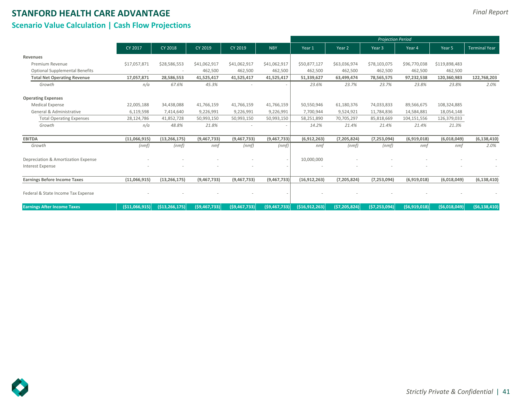## **Scenario Value Calculation | Cash Flow Projections**

|                                       |                 |                   |                  |                |                | <b>Projection Period</b> |                |                |              |               |                      |
|---------------------------------------|-----------------|-------------------|------------------|----------------|----------------|--------------------------|----------------|----------------|--------------|---------------|----------------------|
|                                       | CY 2017         | CY 2018           | CY 2019          | CY 2019        | <b>NBY</b>     | Year 1                   | Year 2         | Year 3         | Year 4       | Year 5        | <b>Terminal Year</b> |
| Revenues                              |                 |                   |                  |                |                |                          |                |                |              |               |                      |
| Premium Revenue                       | \$17,057,871    | \$28,586,553      | \$41,062,917     | \$41,062,917   | \$41,062,917   | \$50,877,127             | \$63,036,974   | \$78,103,075   | \$96,770,038 | \$119,898,483 |                      |
| <b>Optional Supplemental Benefits</b> |                 |                   | 462,500          | 462,500        | 462,500        | 462,500                  | 462,500        | 462,500        | 462,500      | 462,500       |                      |
| <b>Total Net Operating Revenue</b>    | 17,057,871      | 28,586,553        | 41,525,417       | 41,525,417     | 41,525,417     | 51,339,627               | 63,499,474     | 78,565,575     | 97,232,538   | 120,360,983   | 122,768,203          |
| Growth                                | n/a             | 67.6%             | 45.3%            | $\sim$         | $\sim$         | 23.6%                    | 23.7%          | 23.7%          | 23.8%        | 23.8%         | 2.0%                 |
| <b>Operating Expenses</b>             |                 |                   |                  |                |                |                          |                |                |              |               |                      |
| <b>Medical Expense</b>                | 22,005,188      | 34,438,088        | 41,766,159       | 41,766,159     | 41,766,159     | 50,550,946               | 61,180,376     | 74,033,833     | 89,566,675   | 108,324,885   |                      |
| General & Administrative              | 6,119,598       | 7,414,640         | 9,226,991        | 9,226,991      | 9,226,991      | 7,700,944                | 9,524,921      | 11,784,836     | 14,584,881   | 18,054,148    |                      |
| <b>Total Operating Expenses</b>       | 28,124,786      | 41,852,728        | 50,993,150       | 50,993,150     | 50,993,150     | 58,251,890               | 70,705,297     | 85,818,669     | 104,151,556  | 126,379,033   |                      |
| Growth                                | n/a             | 48.8%             | 21.8%            | $\sim$         | $\sim$         | 14.2%                    | 21.4%          | 21.4%          | 21.4%        | 21.3%         |                      |
| <b>EBITDA</b>                         | (11,066,915)    | (13, 266, 175)    | (9,467,733)      | (9,467,733)    | (9,467,733)    | (6,912,263)              | (7, 205, 824)  | (7, 253, 094)  | (6,919,018)  | (6,018,049)   | (6, 138, 410)        |
| Growth                                | (nmf)           | (nmf)             | nmf              | (nmf)          | (nmf)          | nmf                      | (nmf)          | (nmf)          | nmf          | nmf           | 2.0%                 |
| Depreciation & Amortization Expense   |                 |                   |                  |                |                | 10,000,000               |                |                |              |               |                      |
| <b>Interest Expense</b>               |                 |                   |                  |                |                |                          |                |                |              |               |                      |
| <b>Earnings Before Income Taxes</b>   | (11,066,915)    | (13, 266, 175)    | (9,467,733)      | (9,467,733)    | (9,467,733)    | (16, 912, 263)           | (7, 205, 824)  | (7, 253, 094)  | (6,919,018)  | (6,018,049)   | (6, 138, 410)        |
| Federal & State Income Tax Expense    |                 |                   |                  |                |                |                          |                |                |              |               |                      |
| <b>Earnings After Income Taxes</b>    | ( \$11,066,915) | ( \$13, 266, 175] | $($ \$9,467,733) | (59, 467, 733) | (59, 467, 733) | ( \$16, 912, 263]        | (57, 205, 824) | (57, 253, 094) | (56,919,018) | (56,018,049)  | (56, 138, 410)       |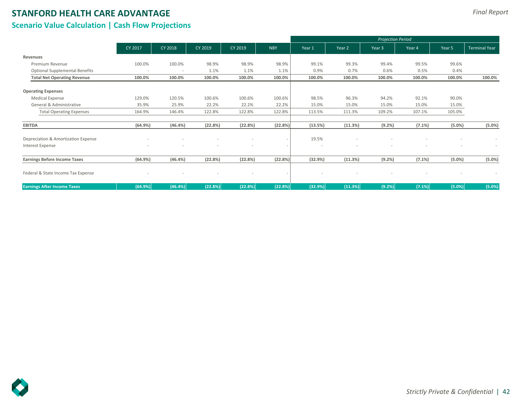## **Scenario Value Calculation | Cash Flow Projections**

|                                       |         |         |         |         |                          | <b>Projection Period</b> |         |        |           |           |                      |
|---------------------------------------|---------|---------|---------|---------|--------------------------|--------------------------|---------|--------|-----------|-----------|----------------------|
|                                       | CY 2017 | CY 2018 | CY 2019 | CY 2019 | <b>NBY</b>               | Year 1                   | Year 2  | Year 3 | Year 4    | Year 5    | <b>Terminal Year</b> |
| Revenues                              |         |         |         |         |                          |                          |         |        |           |           |                      |
| Premium Revenue                       | 100.0%  | 100.0%  | 98.9%   | 98.9%   | 98.9%                    | 99.1%                    | 99.3%   | 99.4%  | 99.5%     | 99.6%     |                      |
| <b>Optional Supplemental Benefits</b> |         | $\sim$  | 1.1%    | 1.1%    | 1.1%                     | 0.9%                     | 0.7%    | 0.6%   | 0.5%      | 0.4%      |                      |
| <b>Total Net Operating Revenue</b>    | 100.0%  | 100.0%  | 100.0%  | 100.0%  | 100.0%                   | 100.0%                   | 100.0%  | 100.0% | 100.0%    | 100.0%    | 100.0%               |
| <b>Operating Expenses</b>             |         |         |         |         |                          |                          |         |        |           |           |                      |
| <b>Medical Expense</b>                | 129.0%  | 120.5%  | 100.6%  | 100.6%  | 100.6%                   | 98.5%                    | 96.3%   | 94.2%  | 92.1%     | 90.0%     |                      |
| General & Administrative              | 35.9%   | 25.9%   | 22.2%   | 22.2%   | 22.2%                    | 15.0%                    | 15.0%   | 15.0%  | 15.0%     | 15.0%     |                      |
| <b>Total Operating Expenses</b>       | 164.9%  | 146.4%  | 122.8%  | 122.8%  | 122.8%                   | 113.5%                   | 111.3%  | 109.2% | 107.1%    | 105.0%    |                      |
| <b>EBITDA</b>                         | (64.9%) | (46.4%) | (22.8%) | (22.8%) | (22.8%)                  | (13.5%)                  | (11.3%) | (9.2%) | (7.1%)    | $(5.0\%)$ | (5.0%)               |
| Depreciation & Amortization Expense   |         |         |         |         | $\overline{\phantom{a}}$ | 19.5%                    |         |        |           |           | $\sim$               |
| Interest Expense                      |         |         |         |         | $\blacksquare$           | ٠                        |         |        |           |           | $\sim$               |
| <b>Earnings Before Income Taxes</b>   | (64.9%) | (46.4%) | (22.8%) | (22.8%) | (22.8%)                  | (32.9%)                  | (11.3%) | (9.2%) | $(7.1\%)$ | $(5.0\%)$ | (5.0%)               |
| Federal & State Income Tax Expense    |         | $\sim$  |         |         | $\overline{\phantom{a}}$ |                          |         |        |           |           | $\sim$               |
| <b>Earnings After Income Taxes</b>    | (64.9%) | (46.4%) | (22.8%) | (22.8%) | (22.8%)                  | (32.9%)                  | (11.3%) | (9.2%) | (7.1%)    | (5.0%)    | (5.0%)               |

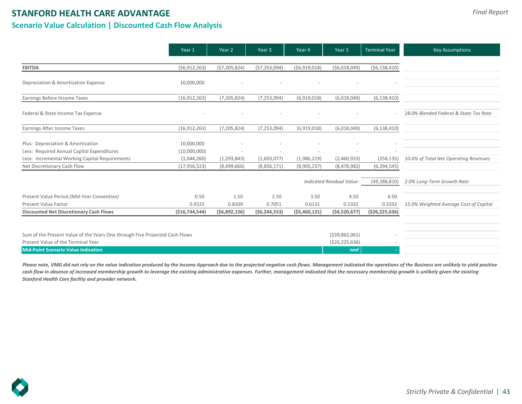## **Scenario Value Calculation | Discounted Cash Flow Analysis**

|                                                                             | Year 1            | Year 2         | Year <sub>3</sub> | Year 4         | Year 5                    | <b>Terminal Year</b> | <b>Key Assumptions</b>                 |
|-----------------------------------------------------------------------------|-------------------|----------------|-------------------|----------------|---------------------------|----------------------|----------------------------------------|
|                                                                             |                   |                |                   |                |                           |                      |                                        |
| <b>EBITDA</b>                                                               | (56, 912, 263)    | (57, 205, 824) | (57, 253, 094)    | (56,919,018)   | ( \$6,018,049)            | ( \$6,138,410)       |                                        |
| Depreciation & Amortization Expense                                         | 10,000,000        |                |                   |                |                           |                      |                                        |
| Earnings Before Income Taxes                                                | (16, 912, 263)    | (7, 205, 824)  | (7, 253, 094)     | (6,919,018)    | (6,018,049)               | (6, 138, 410)        |                                        |
| Federal & State Income Tax Expense                                          |                   |                |                   |                |                           |                      | 28.0% Blended Federal & State Tax Rate |
| Earnings After Income Taxes                                                 | (16, 912, 263)    | (7, 205, 824)  | (7, 253, 094)     | (6,919,018)    | (6,018,049)               | (6, 138, 410)        |                                        |
| Plus: Depreciation & Amortization                                           | 10,000,000        |                |                   |                |                           |                      |                                        |
| Less: Required Annual Capital Expenditures                                  | (10,000,000)      |                |                   |                |                           |                      |                                        |
| Less: Incremental Working Capital Requirements                              | (1,044,260)       | (1, 293, 843)  | (1,603,077)       | (1,986,219)    | (2,460,933)               | (256, 135)           | 10.6% of Total Net Operating Revenues  |
| Net Discretionary Cash Flow                                                 | (17, 956, 523)    | (8,499,666)    | (8,856,171)       | (8,905,237)    | (8,478,982)               | (6, 394, 545)        |                                        |
|                                                                             |                   |                |                   |                | Indicated Residual Value: | (49, 188, 810)       | 2.0% Long-Term Growth Rate             |
| Present Value Period (Mid-Year Convention)                                  | 0.50              | 1.50           | 2.50              | 3.50           | 4.50                      | 4.50                 |                                        |
| <b>Present Value Factor</b>                                                 | 0.9325            | 0.8109         | 0.7051            | 0.6131         | 0.5332                    | 0.5332               | 15.0% Weighted Average Cost of Capital |
| <b>Discounted Net Discretionary Cash Flows</b>                              | ( \$16, 744, 544) | (56,892,156)   | (56, 244, 553)    | (55, 460, 131) | (54,520,677)              | ( \$26, 225, 636)    |                                        |
|                                                                             |                   |                |                   |                |                           |                      |                                        |
| Sum of the Present Value of the Years One through Five Projected Cash Flows |                   |                |                   |                | ( \$39,862,061)           |                      |                                        |
| Present Value of the Terminal Year                                          |                   |                |                   |                | ( \$26, 225, 636)         |                      |                                        |
| <b>Mid-Point Scenario Value Indication</b>                                  |                   |                |                   |                | nmf                       |                      |                                        |

Please note, VMG did not rely on the value indication produced by the Income Approach due to the projected negative cash flows. Management indicated the operations of the Business are unlikely to yield positive cash flow in absence of increased membership growth to leverage the existing administrative expenses. Further, management indicated that the necessary membership growth is unlikely given the existing *Stanford Health Care facility and provider network.*